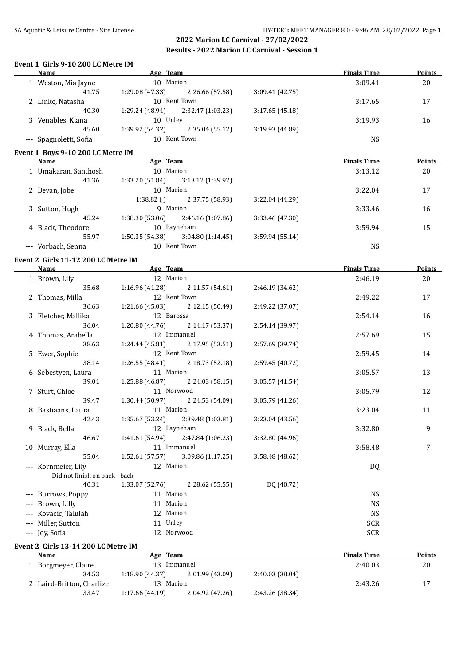#### **Event 1 Girls 9-10 200 LC Metre IM**

| Name                                | Age Team                             |                 | <b>Finals Time</b> | <b>Points</b> |
|-------------------------------------|--------------------------------------|-----------------|--------------------|---------------|
| 1 Weston, Mia Jayne                 | 10 Marion                            |                 | 3:09.41            | 20            |
| 41.75                               | 1:29.08 (47.33)<br>2:26.66 (57.58)   | 3:09.41 (42.75) |                    |               |
| 2 Linke, Natasha                    | 10 Kent Town                         |                 | 3:17.65            | 17            |
| 40.30                               | 1:29.24 (48.94)<br>2:32.47 (1:03.23) | 3:17.65(45.18)  |                    |               |
| 3 Venables, Kiana                   | 10 Unley                             |                 | 3:19.93            | 16            |
| 45.60                               | 1:39.92 (54.32)<br>2:35.04(55.12)    | 3:19.93 (44.89) |                    |               |
| --- Spagnoletti, Sofia              | 10 Kent Town                         |                 | <b>NS</b>          |               |
| Event 1 Boys 9-10 200 LC Metre IM   |                                      |                 |                    |               |
| Name Age Team                       |                                      |                 | <b>Finals Time</b> | Points        |
| 1 Umakaran, Santhosh                | 10 Marion                            |                 | 3:13.12            | 20            |
| 41.36                               | $1:33.20(51.84)$ $3:13.12(1:39.92)$  |                 |                    |               |
| 2 Bevan, Jobe                       | 10 Marion                            |                 | 3:22.04            | 17            |
|                                     | $1:38.82$ () $2:37.75$ (58.93)       | 3:22.04 (44.29) |                    |               |
| 3 Sutton, Hugh                      | 9 Marion                             |                 | 3:33.46            | 16            |
| 45.24                               | $1:38.30(53.06)$ $2:46.16(1:07.86)$  | 3:33.46 (47.30) |                    |               |
| 4 Black, Theodore                   | 10 Payneham                          |                 | 3:59.94            | 15            |
| 55.97                               | $1:50.35(54.38)$ $3:04.80(1:14.45)$  | 3:59.94 (55.14) |                    |               |
| --- Vorbach, Senna                  | 10 Kent Town                         |                 | <b>NS</b>          |               |
| Event 2 Girls 11-12 200 LC Metre IM |                                      |                 |                    |               |
| Name                                | <b>Example 2018</b> Age Team         |                 | <b>Finals Time</b> | <b>Points</b> |
| 1 Brown, Lily                       | 12 Marion                            |                 | 2:46.19            | 20            |
| 35.68                               | $1:16.96(41.28)$ $2:11.57(54.61)$    | 2:46.19 (34.62) |                    |               |
| 2 Thomas, Milla                     | 12 Kent Town                         |                 | 2:49.22            | 17            |
| 36.63                               | $1:21.66(45.03)$ $2:12.15(50.49)$    | 2:49.22 (37.07) |                    |               |
| 3 Fletcher, Mallika                 | 12 Barossa                           |                 | 2:54.14            | 16            |
| 36.04                               | $1:20.80(44.76)$ $2:14.17(53.37)$    | 2:54.14 (39.97) |                    |               |
| 4 Thomas, Arabella                  | 12 Immanuel                          |                 | 2:57.69            | 15            |
| 38.63                               | $1:24.44(45.81)$ $2:17.95(53.51)$    | 2:57.69 (39.74) |                    |               |
| 5 Ewer, Sophie                      | 12 Kent Town                         |                 | 2:59.45            | 14            |
| 38.14                               | $1:26.55(48.41)$ $2:18.73(52.18)$    | 2:59.45 (40.72) |                    |               |
| 6 Sebestyen, Laura                  | 11 Marion                            |                 | 3:05.57            | 13            |
| 39.01                               | $1:25.88(46.87)$ $2:24.03(58.15)$    | 3:05.57 (41.54) |                    |               |
| 7 Sturt, Chloe                      | 11 Norwood                           |                 | 3:05.79            | 12            |
| 39.47                               | $1:30.44$ (50.97) $2:24.53$ (54.09)  | 3:05.79 (41.26) |                    |               |
| 8 Bastiaans, Laura                  | 11 Marion                            |                 | 3:23.04            | 11            |
| 42.43                               | 1:35.67 (53.24)<br>2:39.48 (1:03.81) | 3:23.04 (43.56) |                    |               |
| 9 Black, Bella                      | 12 Payneham                          |                 | 3:32.80            | 9             |
| 46.67                               | 1:41.61 (54.94)<br>2:47.84 (1:06.23) | 3:32.80 (44.96) |                    |               |
| 10 Murray, Ella                     | 11 Immanuel                          |                 | 3:58.48            | 7             |
| 55.04                               | 1:52.61 (57.57)<br>3:09.86 (1:17.25) | 3:58.48 (48.62) |                    |               |
| --- Kornmeier, Lily                 | 12 Marion                            |                 | DQ                 |               |
| Did not finish on back - back       |                                      |                 |                    |               |
| 40.31                               | 1:33.07 (52.76)<br>2:28.62 (55.55)   | DQ (40.72)      |                    |               |
| --- Burrows, Poppy                  | 11 Marion                            |                 | <b>NS</b>          |               |
| --- Brown, Lilly                    | 11 Marion                            |                 | <b>NS</b>          |               |
| --- Kovacic, Talulah                | 12 Marion                            |                 | <b>NS</b>          |               |
| --- Miller, Sutton                  | 11 Unley                             |                 | <b>SCR</b>         |               |
| --- Joy, Sofia                      | 12 Norwood                           |                 | <b>SCR</b>         |               |
|                                     |                                      |                 |                    |               |
| Event 2 Girls 13-14 200 LC Metre IM |                                      |                 |                    |               |
| <b>Name</b>                         | Age Team                             |                 | <b>Finals Time</b> | <b>Points</b> |
| 1 Borgmeyer, Claire                 | 13 Immanuel                          |                 | 2:40.03            | 20            |
| 34.53                               | 1:18.90 (44.37)<br>2:01.99 (43.09)   | 2:40.03 (38.04) |                    |               |
| 2 Laird-Britton, Charlize           | 13 Marion                            |                 | 2:43.26            | 17            |
| 33.47                               | 1:17.66 (44.19)<br>2:04.92 (47.26)   | 2:43.26 (38.34) |                    |               |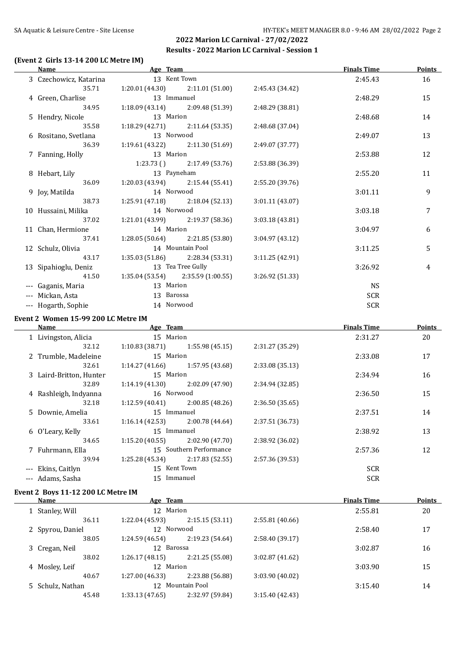# SA Aquatic & Leisure Centre - Site License **HY-TEK's MEET MANAGER 8.0 - 9:46 AM 28/02/2022** Page 2

# **2022 Marion LC Carnival - 27/02/2022 Results - 2022 Marion LC Carnival - Session 1**

# **(Event 2 Girls 13-14 200 LC Metre IM)**

| <b>Name</b>                         | Age Team                     |                                   |                 | <b>Finals Time</b> | <b>Points</b> |
|-------------------------------------|------------------------------|-----------------------------------|-----------------|--------------------|---------------|
| 3 Czechowicz, Katarina              | 13 Kent Town                 |                                   |                 | 2:45.43            | 16            |
| 35.71                               | 1:20.01(44.30)               | 2:11.01 (51.00)                   | 2:45.43 (34.42) |                    |               |
| 4 Green, Charlise                   | 13 Immanuel                  |                                   |                 | 2:48.29            | 15            |
| 34.95                               | 1:18.09(43.14)               | 2:09.48 (51.39)                   | 2:48.29 (38.81) |                    |               |
| 5 Hendry, Nicole                    | 13 Marion                    |                                   |                 | 2:48.68            | 14            |
| 35.58                               | 1:18.29(42.71)               | 2:11.64(53.35)                    | 2:48.68 (37.04) |                    |               |
| 6 Rositano, Svetlana                | 13 Norwood                   |                                   |                 | 2:49.07            | 13            |
| 36.39                               | 1:19.61 (43.22)              | 2:11.30 (51.69)                   | 2:49.07 (37.77) |                    |               |
| 7 Fanning, Holly                    | 13 Marion                    |                                   |                 | 2:53.88            | 12            |
|                                     |                              | $1:23.73$ () $2:17.49$ (53.76)    | 2:53.88 (36.39) |                    |               |
| 8 Hebart, Lily                      | 13 Payneham                  |                                   |                 | 2:55.20            | 11            |
| 36.09                               |                              | $1:20.03(43.94)$ $2:15.44(55.41)$ | 2:55.20 (39.76) |                    |               |
| 9 Joy, Matilda                      | 14 Norwood                   |                                   |                 | 3:01.11            | 9             |
| 38.73                               |                              | $1:25.91(47.18)$ $2:18.04(52.13)$ | 3:01.11 (43.07) |                    |               |
| 10 Hussaini, Milika                 | 14 Norwood                   |                                   |                 | 3:03.18            | 7             |
| 37.02                               |                              | $1:21.01(43.99)$ $2:19.37(58.36)$ | 3:03.18 (43.81) |                    |               |
| 11 Chan, Hermione                   | 14 Marion                    |                                   |                 | 3:04.97            | 6             |
| 37.41                               | 1:28.05(50.64)               | 2:21.85(53.80)                    | 3:04.97 (43.12) |                    |               |
| 12 Schulz, Olivia                   |                              | 14 Mountain Pool                  |                 | 3:11.25            | 5             |
| 43.17                               | 1:35.03(51.86)               | 2:28.34 (53.31)                   | 3:11.25 (42.91) |                    |               |
| 13 Sipahioglu, Deniz                |                              | 13 Tea Tree Gully                 |                 | 3:26.92            | 4             |
| 41.50                               | 1:35.04(53.54)               | 2:35.59 (1:00.55)                 | 3:26.92 (51.33) |                    |               |
| --- Gaganis, Maria                  | 13 Marion                    |                                   |                 | <b>NS</b>          |               |
| --- Mickan, Asta                    | 13 Barossa                   |                                   |                 | <b>SCR</b>         |               |
| --- Hogarth, Sophie                 | 14 Norwood                   |                                   |                 | <b>SCR</b>         |               |
| Event 2 Women 15-99 200 LC Metre IM |                              |                                   |                 |                    |               |
| <b>Name</b>                         | <b>Example 2016</b> Age Team |                                   |                 | <b>Finals Time</b> | <b>Points</b> |
| 1 Livingston, Alicia                | 15 Marion                    |                                   |                 | 2:31.27            | 20            |
| 32.12                               | 1:10.83(38.71)               | 1:55.98(45.15)                    | 2:31.27 (35.29) |                    |               |
| 2 Trumble, Madeleine                | 15 Marion                    |                                   |                 | 2:33.08            | 17            |
| 32.61                               | 1:14.27(41.66)               | 1:57.95 (43.68)                   | 2:33.08 (35.13) |                    |               |
| 3 Laird-Britton, Hunter             | 15 Marion                    |                                   |                 | 2:34.94            | 16            |
| 32.89                               | 1:14.19 (41.30)              | 2:02.09(47.90)                    | 2:34.94 (32.85) |                    |               |
| 4 Rashleigh, Indyanna               | 16 Norwood                   |                                   |                 | 2:36.50            | 15            |
|                                     |                              |                                   |                 |                    |               |

| 32.18              | 1:12.59(40.41)  | 2:00.85(48.26)          | 2:36.50(35.65)  |            |    |
|--------------------|-----------------|-------------------------|-----------------|------------|----|
| 5 Downie, Amelia   | 15 <sup>2</sup> | Immanuel                |                 | 2:37.51    | 14 |
| 33.61              | 1:16.14(42.53)  | 2:00.78 (44.64)         | 2:37.51 (36.73) |            |    |
| 6 O'Leary, Kelly   | 15              | Immanuel                |                 | 2:38.92    | 13 |
| 34.65              | 1:15.20(40.55)  | 2:02.90(47.70)          | 2:38.92 (36.02) |            |    |
| 7 Fuhrmann, Ella   |                 | 15 Southern Performance |                 | 2:57.36    | 12 |
| 39.94              | 1:25.28(45.34)  | 2:17.83(52.55)          | 2:57.36 (39.53) |            |    |
| --- Ekins, Caitlyn | 15 Kent Town    |                         |                 | <b>SCR</b> |    |
| --- Adams, Sasha   | 15.             | Immanuel                |                 | <b>SCR</b> |    |
|                    |                 |                         |                 |            |    |

# **Event 2 Boys 11-12 200 LC Metre IM**

| Name             | Age Team        |                  |                 | <b>Finals Time</b> | Points |
|------------------|-----------------|------------------|-----------------|--------------------|--------|
| 1 Stanley, Will  | 12 Marion       |                  |                 | 2:55.81            | 20     |
| 36.11            | 1:22.04(45.93)  | 2:15.15(53.11)   | 2:55.81(40.66)  |                    |        |
| 2 Spyrou, Daniel | 12 Norwood      |                  |                 | 2:58.40            | 17     |
| 38.05            | 1:24.59 (46.54) | 2:19.23(54.64)   | 2:58.40 (39.17) |                    |        |
| 3 Cregan, Neil   | 12 Barossa      |                  |                 | 3:02.87            | 16     |
| 38.02            | 1:26.17(48.15)  | 2:21.25 (55.08)  | 3:02.87(41.62)  |                    |        |
| 4 Mosley, Leif   | 12 Marion       |                  |                 | 3:03.90            | 15     |
| 40.67            | 1:27.00(46.33)  | 2:23.88 (56.88)  | 3:03.90 (40.02) |                    |        |
| 5 Schulz, Nathan |                 | 12 Mountain Pool |                 | 3:15.40            | 14     |
| 45.48            | 1:33.13(47.65)  | 2:32.97 (59.84)  | 3:15.40(42.43)  |                    |        |
|                  |                 |                  |                 |                    |        |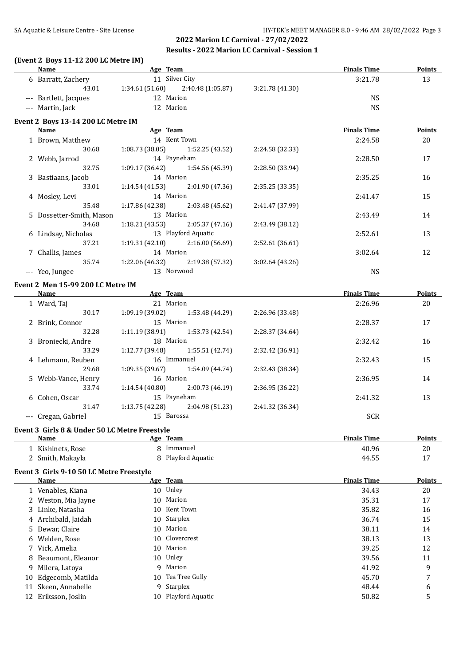#### **(Event 2 Boys 11-12 200 LC Metre IM)**

|    | Name                                          | <b>Example 2018 Age Team Age Team Age Team Age Team Age Team Age Team Age Team Age Team Age Team Age Team Age Team</b> |                 | <b>Finals Time</b> | <b>Points</b> |
|----|-----------------------------------------------|------------------------------------------------------------------------------------------------------------------------|-----------------|--------------------|---------------|
|    |                                               | 6 Barratt, Zachery 11 Silver City                                                                                      |                 | 3:21.78            | 13            |
|    |                                               | 43.01 1:34.61 (51.60) 2:40.48 (1:05.87) 3:21.78 (41.30)                                                                |                 |                    |               |
|    | --- Bartlett, Jacques                         | 12 Marion                                                                                                              |                 | <b>NS</b>          |               |
|    | --- Martin, Jack                              | 12 Marion                                                                                                              |                 | <b>NS</b>          |               |
|    |                                               |                                                                                                                        |                 |                    |               |
|    | Event 2 Boys 13-14 200 LC Metre IM            | <b>Example 2018 Age Team Age 2018</b>                                                                                  |                 | <b>Finals Time</b> | <b>Points</b> |
|    | Name                                          |                                                                                                                        |                 |                    |               |
|    | 1 Brown, Matthew                              | 14 Kent Town                                                                                                           |                 | 2:24.58            | 20            |
|    | 30.68                                         | $1:08.73(38.05)$ $1:52.25(43.52)$                                                                                      | 2:24.58 (32.33) |                    |               |
|    | 2 Webb, Jarrod                                | 14 Payneham                                                                                                            |                 | 2:28.50            | 17            |
|    | 32.75                                         | $1:09.17(36.42)$ $1:54.56(45.39)$                                                                                      | 2:28.50 (33.94) |                    |               |
|    | 3 Bastiaans, Jacob<br>33.01                   | 14 Marion                                                                                                              |                 | 2:35.25            | 16            |
|    |                                               | $1:14.54(41.53)$ $2:01.90(47.36)$                                                                                      | 2:35.25 (33.35) |                    |               |
|    | 4 Mosley, Levi                                | 14 Marion                                                                                                              |                 | 2:41.47            | 15            |
|    | 35.48                                         | $1:17.86(42.38)$ $2:03.48(45.62)$                                                                                      | 2:41.47 (37.99) |                    |               |
|    | 5 Dossetter-Smith, Mason                      | 13 Marion                                                                                                              |                 | 2:43.49            | 14            |
|    | 34.68                                         | $1:18.21(43.53)$ $2:05.37(47.16)$                                                                                      | 2:43.49 (38.12) |                    |               |
|    | 6 Lindsay, Nicholas                           | 13 Playford Aquatic                                                                                                    |                 | 2:52.61            | 13            |
|    | 37.21                                         | $1:19.31(42.10)$ $2:16.00(56.69)$                                                                                      | 2:52.61 (36.61) |                    |               |
|    | 7 Challis, James                              | 14 Marion                                                                                                              |                 | 3:02.64            | 12            |
|    | 35.74                                         | $1:22.06(46.32)$ $2:19.38(57.32)$                                                                                      | 3:02.64 (43.26) |                    |               |
|    | --- Yeo, Jungee                               | 13 Norwood                                                                                                             |                 | <b>NS</b>          |               |
|    | Event 2 Men 15-99 200 LC Metre IM             |                                                                                                                        |                 |                    |               |
|    | <b>Name</b>                                   | <b>Example 2018</b> Age Team                                                                                           |                 | <b>Finals Time</b> | <b>Points</b> |
|    | 1 Ward, Taj                                   | 21 Marion                                                                                                              |                 | 2:26.96            | 20            |
|    | 30.17                                         | $1:09.19(39.02)$ $1:53.48(44.29)$                                                                                      | 2:26.96 (33.48) |                    |               |
|    | 2 Brink, Connor                               | 15 Marion                                                                                                              |                 | 2:28.37            | 17            |
|    | 32.28                                         | $1:11.19$ (38.91) $1:53.73$ (42.54)                                                                                    | 2:28.37 (34.64) |                    |               |
|    | 3 Broniecki, Andre                            | 18 Marion                                                                                                              |                 | 2:32.42            | 16            |
|    | 33.29                                         | $1:12.77(39.48)$ $1:55.51(42.74)$                                                                                      | 2:32.42 (36.91) |                    |               |
|    | 4 Lehmann, Reuben                             | 16 Immanuel                                                                                                            |                 | 2:32.43            | 15            |
|    | 29.68                                         | $1:09.35(39.67)$ $1:54.09(44.74)$                                                                                      | 2:32.43 (38.34) |                    |               |
|    | 5 Webb-Vance, Henry                           | 16 Marion                                                                                                              |                 | 2:36.95            | 14            |
|    | 33.74                                         | $1:14.54(40.80)$ $2:00.73(46.19)$                                                                                      | 2:36.95 (36.22) |                    |               |
|    | 6 Cohen, Oscar                                | 15 Payneham                                                                                                            |                 | 2:41.32            | 13            |
|    | 31.47                                         | $1:13.75(42.28)$ $2:04.98(51.23)$                                                                                      | 2:41.32 (36.34) |                    |               |
|    | --- Cregan, Gabriel                           | 15 Barossa                                                                                                             |                 | <b>SCR</b>         |               |
|    |                                               |                                                                                                                        |                 |                    |               |
|    | Event 3 Girls 8 & Under 50 LC Metre Freestyle |                                                                                                                        |                 |                    |               |
|    | Name                                          | Age Team                                                                                                               |                 | <b>Finals Time</b> | <b>Points</b> |
|    | 1 Kishinets, Rose                             | 8 Immanuel                                                                                                             |                 | 40.96              | 20            |
|    | 2 Smith, Makayla                              | Playford Aquatic                                                                                                       |                 | 44.55              | 17            |
|    | Event 3 Girls 9-10 50 LC Metre Freestyle      |                                                                                                                        |                 |                    |               |
|    | Name                                          | Age Team                                                                                                               |                 | <b>Finals Time</b> | <b>Points</b> |
|    | 1 Venables, Kiana                             | 10 Unley                                                                                                               |                 | 34.43              | 20            |
|    | 2 Weston, Mia Jayne                           | 10 Marion                                                                                                              |                 | 35.31              | 17            |
|    | 3 Linke, Natasha                              | Kent Town<br>10                                                                                                        |                 | 35.82              | 16            |
| 4  | Archibald, Jaidah                             | Starplex<br>10                                                                                                         |                 | 36.74              | 15            |
| 5. | Dewar, Claire                                 | Marion<br>10                                                                                                           |                 | 38.11              | 14            |
|    | Welden, Rose                                  | Clovercrest<br>10                                                                                                      |                 | 38.13              | 13            |
| 6  |                                               | Marion                                                                                                                 |                 |                    |               |
| 7  | Vick, Amelia                                  | 10                                                                                                                     |                 | 39.25              | 12            |
| 8  | Beaumont, Eleanor                             | 10 Unley                                                                                                               |                 | 39.56              | 11            |
| 9  | Milera, Latoya                                | 9 Marion                                                                                                               |                 | 41.92              | 9             |
| 10 | Edgecomb, Matilda                             | Tea Tree Gully<br>10                                                                                                   |                 | 45.70              | 7             |
| 11 | Skeen, Annabelle                              | Starplex<br>9                                                                                                          |                 | 48.44              | 6             |
| 12 | Eriksson, Joslin                              | 10 Playford Aquatic                                                                                                    |                 | 50.82              | 5             |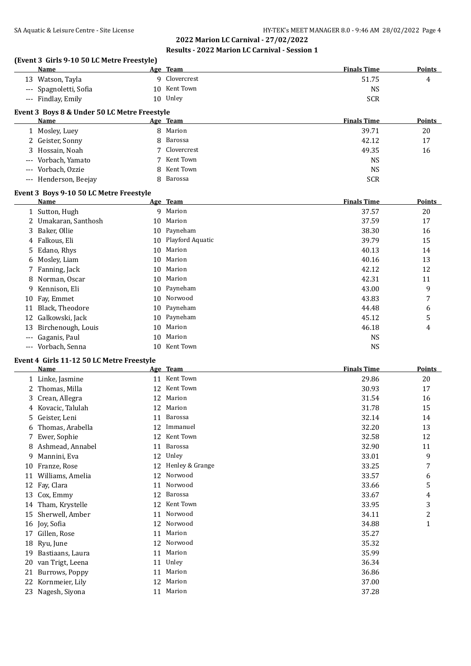# **(Event 3 Girls 9-10 50 LC Metre Freestyle)**

|          | 11 13 J-10 J0 LC MCCC FICCSCYICJ<br><b>Name</b>          |    | Age Team         | <b>Finals Time</b> | <b>Points</b>  |
|----------|----------------------------------------------------------|----|------------------|--------------------|----------------|
|          | 13 Watson, Tayla                                         |    | 9 Clovercrest    | 51.75              | 4              |
|          | --- Spagnoletti, Sofia                                   |    | 10 Kent Town     | NS                 |                |
|          | --- Findlay, Emily                                       |    | 10 Unley         | <b>SCR</b>         |                |
|          |                                                          |    |                  |                    |                |
|          | Event 3 Boys 8 & Under 50 LC Metre Freestyle             |    |                  |                    |                |
|          | Name                                                     |    | Age Team         | <b>Finals Time</b> | Points         |
|          | 1 Mosley, Luey                                           |    | 8 Marion         | 39.71              | 20             |
|          | 2 Geister, Sonny                                         | 8  | Barossa          | 42.12              | 17             |
|          | 3 Hossain, Noah                                          | 7  | Clovercrest      | 49.35              | 16             |
| $\cdots$ | Vorbach, Yamato                                          | 7  | Kent Town        | <b>NS</b>          |                |
|          | --- Vorbach, Ozzie                                       | 8  | Kent Town        | <b>NS</b>          |                |
|          | --- Henderson, Beejay                                    | 8  | Barossa          | <b>SCR</b>         |                |
|          | Event 3 Boys 9-10 50 LC Metre Freestyle                  |    |                  |                    |                |
|          | Name                                                     |    | Age Team         | <b>Finals Time</b> | <b>Points</b>  |
|          | 1 Sutton, Hugh                                           |    | 9 Marion         | 37.57              | 20             |
|          | 2 Umakaran, Santhosh                                     | 10 | Marion           | 37.59              | 17             |
| 3        | Baker, Ollie                                             | 10 | Payneham         | 38.30              | 16             |
| 4        | Falkous, Eli                                             | 10 | Playford Aquatic | 39.79              | 15             |
| 5.       | Edano, Rhys                                              | 10 | Marion           | 40.13              | 14             |
| 6        | Mosley, Liam                                             | 10 | Marion           | 40.16              | 13             |
| 7        | Fanning, Jack                                            | 10 | Marion           | 42.12              | 12             |
| 8        | Norman, Oscar                                            | 10 | Marion           | 42.31              | 11             |
| 9        | Kennison, Eli                                            | 10 | Payneham         | 43.00              | 9              |
|          | 10 Fay, Emmet                                            | 10 | Norwood          | 43.83              | 7              |
| 11       | Black, Theodore                                          | 10 | Payneham         | 44.48              | 6              |
| 12       | Galkowski, Jack                                          | 10 | Payneham         | 45.12              | 5              |
|          | 13 Birchenough, Louis                                    | 10 | Marion           | 46.18              | 4              |
| $---$    | Gaganis, Paul                                            | 10 | Marion           | <b>NS</b>          |                |
|          | --- Vorbach, Senna                                       | 10 | Kent Town        | <b>NS</b>          |                |
|          |                                                          |    |                  |                    |                |
|          | Event 4 Girls 11-12 50 LC Metre Freestyle<br><b>Name</b> |    | Age Team         | <b>Finals Time</b> | <b>Points</b>  |
|          |                                                          |    | 11 Kent Town     |                    |                |
|          | 1 Linke, Jasmine                                         |    | 12 Kent Town     | 29.86              | 20             |
|          | 2 Thomas, Milla                                          |    |                  | 30.93              | 17             |
|          | 3 Crean, Allegra                                         | 12 | Marion           | 31.54              | 16             |
|          | 4 Kovacic, Talulah                                       |    | 12 Marion        | 31.78              | 15             |
|          | 5 Geister, Leni                                          |    | 11 Barossa       | 32.14              | 14             |
| 6        | Thomas, Arabella                                         |    | 12 Immanuel      | 32.20              | 13             |
|          | 7 Ewer, Sophie                                           |    | 12 Kent Town     | 32.58              | 12             |
|          | 8 Ashmead, Annabel                                       | 11 | Barossa          | 32.90              | 11             |
|          | 9 Mannini, Eva                                           |    | 12 Unley         | 33.01              | 9              |
|          | 10 Franze, Rose                                          | 12 | Henley & Grange  | 33.25              | 7              |
| 11       | Williams, Amelia                                         | 12 | Norwood          | 33.57              | 6              |
| 12       | Fay, Clara                                               | 11 | Norwood          | 33.66              | 5              |
| 13       | Cox, Emmy                                                | 12 | Barossa          | 33.67              | 4              |
|          | 14 Tham, Krystelle                                       | 12 | Kent Town        | 33.95              | 3              |
|          | 15 Sherwell, Amber                                       | 11 | Norwood          | 34.11              | $\overline{c}$ |
|          | 16 Joy, Sofia                                            | 12 | Norwood          | 34.88              | $\mathbf{1}$   |
| 17       | Gillen, Rose                                             | 11 | Marion           | 35.27              |                |
| 18       | Ryu, June                                                | 12 | Norwood          | 35.32              |                |
|          | 19 Bastiaans, Laura                                      | 11 | Marion           | 35.99              |                |
| 20       | van Trigt, Leena                                         |    | 11 Unley         | 36.34              |                |
| 21       | Burrows, Poppy                                           | 11 | Marion           | 36.86              |                |
|          | 22 Kornmeier, Lily                                       |    | 12 Marion        | 37.00              |                |
|          | 23 Nagesh, Siyona                                        |    | 11 Marion        | 37.28              |                |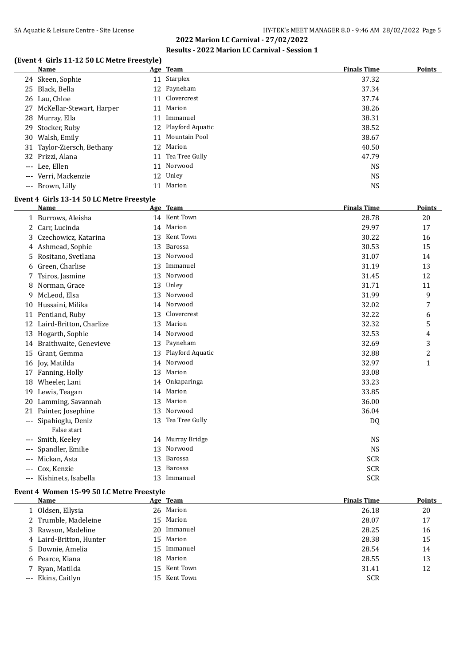#### **(Event 4 Girls 11-12 50 LC Metre Freestyle)**

| <b>Name</b>                 |    | Age Team            | <b>Finals Time</b> | <b>Points</b> |
|-----------------------------|----|---------------------|--------------------|---------------|
| 24 Skeen, Sophie            |    | 11 Starplex         | 37.32              |               |
| 25 Black, Bella             |    | 12 Payneham         | 37.34              |               |
| 26 Lau, Chloe               |    | 11 Clovercrest      | 37.74              |               |
| 27 McKellar-Stewart, Harper |    | Marion              | 38.26              |               |
| 28 Murray, Ella             | 11 | Immanuel            | 38.31              |               |
| 29 Stocker, Ruby            |    | 12 Playford Aquatic | 38.52              |               |
| 30 Walsh, Emily             |    | 11 Mountain Pool    | 38.67              |               |
| 31 Taylor-Ziersch, Bethany  |    | 12 Marion           | 40.50              |               |
| 32 Prizzi, Alana            |    | 11 Tea Tree Gully   | 47.79              |               |
| --- Lee, Ellen              | 11 | Norwood             | <b>NS</b>          |               |
| --- Verri, Mackenzie        |    | 12 Unley            | <b>NS</b>          |               |
| --- Brown, Lilly            |    | Marion              | <b>NS</b>          |               |

#### **Event 4 Girls 13-14 50 LC Metre Freestyle**

|          | <b>Name</b>                      |    | Age Team         | <b>Finals Time</b> | <b>Points</b>  |
|----------|----------------------------------|----|------------------|--------------------|----------------|
|          | 1 Burrows, Aleisha               |    | 14 Kent Town     | 28.78              | 20             |
| 2        | Carr, Lucinda                    | 14 | Marion           | 29.97              | 17             |
| 3.       | Czechowicz, Katarina             | 13 | Kent Town        | 30.22              | 16             |
|          | 4 Ashmead, Sophie                | 13 | Barossa          | 30.53              | 15             |
| 5.       | Rositano, Svetlana               | 13 | Norwood          | 31.07              | 14             |
| 6        | Green, Charlise                  | 13 | Immanuel         | 31.19              | 13             |
|          | Tsiros, Jasmine                  | 13 | Norwood          | 31.45              | 12             |
| 8        | Norman, Grace                    | 13 | Unley            | 31.71              | 11             |
| 9        | McLeod, Elsa                     | 13 | Norwood          | 31.99              | 9              |
| 10       | Hussaini, Milika                 | 14 | Norwood          | 32.02              | 7              |
|          | 11 Pentland, Ruby                | 13 | Clovercrest      | 32.22              | 6              |
| 12       | Laird-Britton, Charlize          | 13 | Marion           | 32.32              | 5              |
| 13       | Hogarth, Sophie                  | 14 | Norwood          | 32.53              | 4              |
| 14       | Braithwaite, Genevieve           | 13 | Payneham         | 32.69              | 3              |
| 15       | Grant, Gemma                     | 13 | Playford Aquatic | 32.88              | $\overline{c}$ |
| 16       | Joy, Matilda                     | 14 | Norwood          | 32.97              | $\mathbf{1}$   |
| 17       | Fanning, Holly                   | 13 | Marion           | 33.08              |                |
| 18       | Wheeler, Lani                    |    | 14 Onkaparinga   | 33.23              |                |
| 19       | Lewis, Teagan                    | 14 | Marion           | 33.85              |                |
| 20       | Lamming, Savannah                | 13 | Marion           | 36.00              |                |
| 21       | Painter, Josephine               | 13 | Norwood          | 36.04              |                |
| $\cdots$ | Sipahioglu, Deniz<br>False start | 13 | Tea Tree Gully   | DQ                 |                |
| $---$    | Smith, Keeley                    | 14 | Murray Bridge    | <b>NS</b>          |                |
|          | Spandler, Emilie                 | 13 | Norwood          | <b>NS</b>          |                |
| $---$    | Mickan, Asta                     | 13 | Barossa          | <b>SCR</b>         |                |
| $---$    | Cox, Kenzie                      | 13 | Barossa          | <b>SCR</b>         |                |
| $---$    | Kishinets, Isabella              | 13 | Immanuel         | <b>SCR</b>         |                |
|          |                                  |    |                  |                    |                |

#### **Event 4 Women 15-99 50 LC Metre Freestyle**

| Name                    | Age Team     | <b>Finals Time</b> | Points |
|-------------------------|--------------|--------------------|--------|
| 1 Oldsen, Ellysia       | 26 Marion    | 26.18              | 20     |
| 2 Trumble, Madeleine    | 15 Marion    | 28.07              | 17     |
| 3 Rawson, Madeline      | 20 Immanuel  | 28.25              | 16     |
| 4 Laird-Britton, Hunter | 15 Marion    | 28.38              | 15     |
| 5 Downie, Amelia        | 15 Immanuel  | 28.54              | 14     |
| 6 Pearce, Kiana         | 18 Marion    | 28.55              | 13     |
| 7 Ryan, Matilda         | 15 Kent Town | 31.41              | 12     |
| --- Ekins, Caitlyn      | 15 Kent Town | <b>SCR</b>         |        |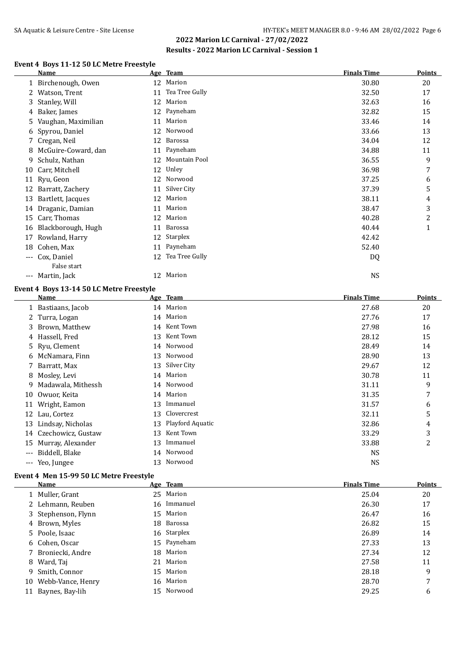#### **Event 4 Boys 11-12 50 LC Metre Freestyle**

|     | Name                |    | Age Team       | <b>Finals Time</b> | <b>Points</b>  |
|-----|---------------------|----|----------------|--------------------|----------------|
|     | 1 Birchenough, Owen |    | 12 Marion      | 30.80              | 20             |
| 2   | Watson, Trent       | 11 | Tea Tree Gully | 32.50              | 17             |
| 3   | Stanley, Will       | 12 | Marion         | 32.63              | 16             |
| 4   | Baker, James        | 12 | Payneham       | 32.82              | 15             |
| 5.  | Vaughan, Maximilian | 11 | Marion         | 33.46              | 14             |
| 6   | Spyrou, Daniel      | 12 | Norwood        | 33.66              | 13             |
|     | 7 Cregan, Neil      | 12 | Barossa        | 34.04              | 12             |
| 8   | McGuire-Coward, dan | 11 | Payneham       | 34.88              | 11             |
| 9.  | Schulz, Nathan      | 12 | Mountain Pool  | 36.55              | 9              |
| 10  | Carr, Mitchell      | 12 | Unley          | 36.98              | 7              |
|     | 11 Ryu, Geon        | 12 | Norwood        | 37.25              | 6              |
| 12  | Barratt, Zachery    | 11 | Silver City    | 37.39              | 5              |
| 13  | Bartlett, Jacques   | 12 | Marion         | 38.11              | 4              |
| 14  | Draganic, Damian    | 11 | Marion         | 38.47              | 3              |
| 15  | Carr, Thomas        | 12 | Marion         | 40.28              | $\overline{c}$ |
| 16  | Blackborough, Hugh  | 11 | Barossa        | 40.44              | 1              |
| 17  | Rowland, Harry      | 12 | Starplex       | 42.42              |                |
| 18  | Cohen, Max          | 11 | Payneham       | 52.40              |                |
| --- | Cox, Daniel         | 12 | Tea Tree Gully | DQ                 |                |
|     | False start         |    |                |                    |                |
| --- | Martin, Jack        |    | 12 Marion      | <b>NS</b>          |                |

#### **Event 4 Boys 13-14 50 LC Metre Freestyle**

|       | Name                 |    | Age Team         | <b>Finals Time</b> | <b>Points</b> |
|-------|----------------------|----|------------------|--------------------|---------------|
|       | 1 Bastiaans, Jacob   |    | 14 Marion        | 27.68              | 20            |
|       | 2 Turra, Logan       |    | 14 Marion        | 27.76              | 17            |
|       | 3 Brown, Matthew     |    | 14 Kent Town     | 27.98              | 16            |
|       | 4 Hassell, Fred      | 13 | Kent Town        | 28.12              | 15            |
|       | 5 Ryu, Clement       |    | 14 Norwood       | 28.49              | 14            |
|       | 6 McNamara, Finn     | 13 | Norwood          | 28.90              | 13            |
|       | 7 Barratt, Max       | 13 | Silver City      | 29.67              | 12            |
|       | 8 Mosley, Levi       |    | 14 Marion        | 30.78              | 11            |
|       | 9 Madawala, Mithessh |    | 14 Norwood       | 31.11              | 9             |
| 10    | Owuor, Keita         |    | 14 Marion        | 31.35              | 7             |
| 11    | Wright, Eamon        | 13 | Immanuel         | 31.57              | 6             |
| 12    | Lau, Cortez          | 13 | Clovercrest      | 32.11              | 5             |
| 13    | Lindsay, Nicholas    | 13 | Playford Aquatic | 32.86              | 4             |
| 14    | Czechowicz, Gustaw   | 13 | Kent Town        | 33.29              | 3             |
| 15    | Murray, Alexander    | 13 | Immanuel         | 33.88              | 2             |
| $---$ | Biddell, Blake       | 14 | Norwood          | <b>NS</b>          |               |
| $---$ | Yeo, Jungee          | 13 | Norwood          | <b>NS</b>          |               |

#### **Event 4 Men 15-99 50 LC Metre Freestyle**

| Name                 | Age Team    | <b>Finals Time</b> | <b>Points</b> |
|----------------------|-------------|--------------------|---------------|
| 1 Muller, Grant      | 25 Marion   | 25.04              | 20            |
| 2 Lehmann, Reuben    | 16 Immanuel | 26.30              | 17            |
| 3 Stephenson, Flynn  | 15 Marion   | 26.47              | 16            |
| 4 Brown, Myles       | 18 Barossa  | 26.82              | 15            |
| 5 Poole, Isaac       | 16 Starplex | 26.89              | 14            |
| 6 Cohen, Oscar       | 15 Payneham | 27.33              | 13            |
| 7 Broniecki, Andre   | 18 Marion   | 27.34              | 12            |
| 8 Ward, Taj          | 21 Marion   | 27.58              | 11            |
| 9 Smith, Connor      | 15 Marion   | 28.18              | 9             |
| 10 Webb-Vance, Henry | 16 Marion   | 28.70              | 7             |
| 11 Baynes, Bay-lih   | 15 Norwood  | 29.25              | 6             |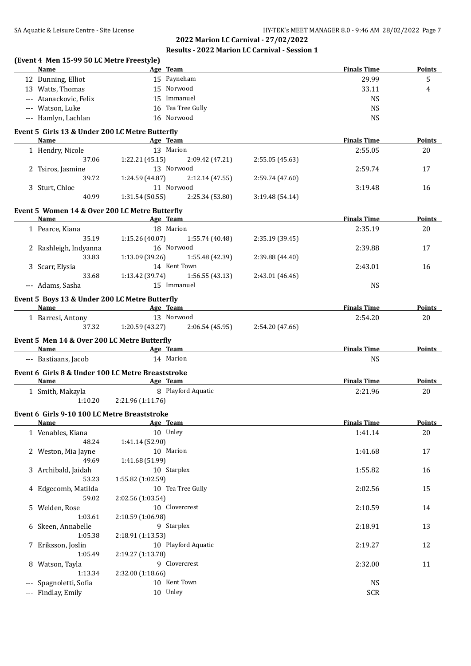|                                     | (Event 4 Men 15-99 50 LC Metre Freestyle)                 |                           |                          |                 |                         |               |
|-------------------------------------|-----------------------------------------------------------|---------------------------|--------------------------|-----------------|-------------------------|---------------|
|                                     | <b>Name</b>                                               |                           | Age Team                 |                 | <b>Finals Time</b>      | <b>Points</b> |
|                                     | 12 Dunning, Elliot                                        |                           | 15 Payneham              |                 | 29.99                   | 5             |
|                                     | 13 Watts, Thomas                                          |                           | 15 Norwood               |                 | 33.11                   | 4             |
|                                     | --- Atanackovic, Felix                                    |                           | 15 Immanuel              |                 | <b>NS</b>               |               |
|                                     | --- Watson, Luke                                          |                           | 16 Tea Tree Gully        |                 | <b>NS</b>               |               |
|                                     | --- Hamlyn, Lachlan                                       |                           | 16 Norwood               |                 | <b>NS</b>               |               |
|                                     | Event 5 Girls 13 & Under 200 LC Metre Butterfly           |                           |                          |                 |                         |               |
|                                     | Name                                                      |                           | Age Team                 |                 | <b>Finals Time</b>      | Points        |
|                                     | 1 Hendry, Nicole                                          |                           | 13 Marion                |                 | 2:55.05                 | 20            |
|                                     | 37.06                                                     | 1:22.21 (45.15)           | 2:09.42 (47.21)          | 2:55.05 (45.63) |                         |               |
|                                     | 2 Tsiros, Jasmine                                         |                           | 13 Norwood               |                 | 2:59.74                 | 17            |
|                                     | 39.72                                                     | 1:24.59 (44.87)           | 2:12.14 (47.55)          | 2:59.74 (47.60) |                         |               |
|                                     | 3 Sturt, Chloe                                            |                           | 11 Norwood               |                 | 3:19.48                 | 16            |
|                                     | 40.99                                                     | 1:31.54(50.55)            | 2:25.34 (53.80)          | 3:19.48(54.14)  |                         |               |
|                                     | Event 5 Women 14 & Over 200 LC Metre Butterfly            |                           |                          |                 |                         |               |
|                                     | Name                                                      |                           | Age Team                 |                 | <b>Finals Time</b>      | <b>Points</b> |
|                                     | 1 Pearce, Kiana                                           |                           | 18 Marion                |                 | 2:35.19                 | 20            |
|                                     | 35.19                                                     | 1:15.26(40.07)            | 1:55.74 (40.48)          | 2:35.19 (39.45) |                         |               |
|                                     | 2 Rashleigh, Indyanna                                     |                           | 16 Norwood               |                 | 2:39.88                 | 17            |
|                                     | 33.83                                                     | 1:13.09(39.26)            | 1:55.48 (42.39)          | 2:39.88 (44.40) |                         |               |
|                                     | 3 Scarr, Elysia                                           |                           | 14 Kent Town             |                 | 2:43.01                 | 16            |
|                                     | 33.68                                                     | 1:13.42(39.74)            | 1:56.55(43.13)           | 2:43.01 (46.46) |                         |               |
|                                     | --- Adams, Sasha                                          |                           | 15 Immanuel              |                 | <b>NS</b>               |               |
|                                     | Event 5 Boys 13 & Under 200 LC Metre Butterfly            |                           |                          |                 |                         |               |
|                                     | Name                                                      | <b>Example 2</b> Age Team |                          |                 | <b>Finals Time</b>      | Points        |
|                                     | 1 Barresi, Antony                                         |                           | 13 Norwood               |                 | 2:54.20                 | 20            |
|                                     | 37.32                                                     | 1:20.59 (43.27)           | 2:06.54(45.95)           | 2:54.20 (47.66) |                         |               |
|                                     | Event 5 Men 14 & Over 200 LC Metre Butterfly              |                           |                          |                 |                         |               |
|                                     | <b>Name</b>                                               | <b>Example 2</b> Age Team |                          |                 | <b>Finals Time</b>      | Points        |
|                                     | --- Bastiaans, Jacob                                      |                           | 14 Marion                |                 | <b>NS</b>               |               |
|                                     | Event 6 Girls 8 & Under 100 LC Metre Breaststroke<br>Name | <b>Example 2</b> Age Team |                          |                 | <b>Finals Time</b>      | Points        |
|                                     | 1 Smith, Makayla                                          |                           | 8 Playford Aquatic       |                 | 2:21.96                 | 20            |
|                                     | 1:10.20                                                   | 2:21.96 (1:11.76)         |                          |                 |                         |               |
|                                     | Event 6 Girls 9-10 100 LC Metre Breaststroke              |                           |                          |                 |                         |               |
|                                     | <b>Name</b>                                               |                           | Age Team                 |                 | <b>Finals Time</b>      | <b>Points</b> |
|                                     | 1 Venables, Kiana                                         |                           | 10 Unley                 |                 | 1:41.14                 | 20            |
|                                     | 48.24                                                     | 1:41.14 (52.90)           |                          |                 |                         |               |
|                                     | 2 Weston, Mia Jayne                                       |                           | 10 Marion                |                 | 1:41.68                 | 17            |
|                                     | 49.69                                                     | 1:41.68 (51.99)           |                          |                 |                         |               |
|                                     |                                                           |                           |                          |                 |                         |               |
|                                     | 3 Archibald, Jaidah                                       |                           | 10 Starplex              |                 | 1:55.82                 | 16            |
|                                     | 53.23                                                     | 1:55.82 (1:02.59)         |                          |                 |                         |               |
|                                     | 4 Edgecomb, Matilda                                       |                           | 10 Tea Tree Gully        |                 | 2:02.56                 | 15            |
|                                     | 59.02                                                     | 2:02.56 (1:03.54)         |                          |                 |                         |               |
|                                     | 5 Welden, Rose                                            |                           | 10 Clovercrest           |                 | 2:10.59                 | 14            |
|                                     | 1:03.61                                                   | 2:10.59 (1:06.98)         |                          |                 |                         |               |
|                                     |                                                           |                           |                          |                 |                         |               |
|                                     |                                                           |                           | 9 Starplex               |                 | 2:18.91                 | 13            |
|                                     | 6 Skeen, Annabelle                                        |                           |                          |                 |                         |               |
|                                     | 1:05.38                                                   | 2:18.91 (1:13.53)         |                          |                 |                         |               |
|                                     | 7 Eriksson, Joslin                                        |                           | 10 Playford Aquatic      |                 | 2:19.27                 | 12            |
|                                     | 1:05.49                                                   | 2:19.27 (1:13.78)         |                          |                 |                         |               |
|                                     | 8 Watson, Tayla                                           |                           | 9 Clovercrest            |                 | 2:32.00                 | 11            |
|                                     | 1:13.34                                                   | 2:32.00 (1:18.66)         |                          |                 |                         |               |
| $-\, -\, -$<br>$\scriptstyle\cdots$ | Spagnoletti, Sofia<br>Findlay, Emily                      |                           | 10 Kent Town<br>10 Unley |                 | <b>NS</b><br><b>SCR</b> |               |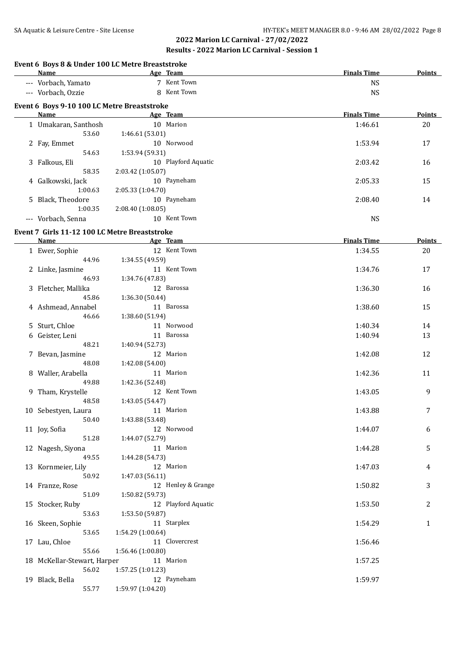| Event 6 Boys 8 & Under 100 LC Metre Breaststroke<br>Name |                   | Age Team            | <b>Finals Time</b> | Points        |
|----------------------------------------------------------|-------------------|---------------------|--------------------|---------------|
| --- Vorbach, Yamato                                      |                   | 7 Kent Town         | <b>NS</b>          |               |
| --- Vorbach, Ozzie                                       |                   | 8 Kent Town         | <b>NS</b>          |               |
| Event 6 Boys 9-10 100 LC Metre Breaststroke<br>Name      |                   | Age Team            | <b>Finals Time</b> | Points        |
|                                                          |                   |                     |                    |               |
| 1 Umakaran, Santhosh                                     |                   | 10 Marion           | 1:46.61            | 20            |
| 53.60                                                    | 1:46.61 (53.01)   |                     |                    |               |
| 2 Fay, Emmet                                             |                   | 10 Norwood          | 1:53.94            | 17            |
| 54.63                                                    | 1:53.94 (59.31)   |                     |                    |               |
| 3 Falkous, Eli                                           |                   | 10 Playford Aquatic | 2:03.42            | 16            |
| 58.35                                                    | 2:03.42 (1:05.07) |                     |                    |               |
| 4 Galkowski, Jack                                        |                   | 10 Payneham         | 2:05.33            | 15            |
| 1:00.63                                                  | 2:05.33 (1:04.70) |                     |                    |               |
| 5 Black, Theodore                                        |                   | 10 Payneham         | 2:08.40            | 14            |
| 1:00.35                                                  | 2:08.40 (1:08.05) |                     |                    |               |
| --- Vorbach, Senna                                       |                   | 10 Kent Town        | <b>NS</b>          |               |
| Event 7 Girls 11-12 100 LC Metre Breaststroke<br>Name    |                   | Age Team            | <b>Finals Time</b> | <b>Points</b> |
|                                                          |                   |                     |                    |               |
| 1 Ewer, Sophie                                           |                   | 12 Kent Town        | 1:34.55            | 20            |
| 44.96                                                    | 1:34.55 (49.59)   |                     |                    |               |
| 2 Linke, Jasmine                                         |                   | 11 Kent Town        | 1:34.76            | 17            |
| 46.93                                                    | 1:34.76 (47.83)   |                     |                    |               |
| 3 Fletcher, Mallika                                      |                   | 12 Barossa          | 1:36.30            | 16            |
| 45.86                                                    | 1:36.30 (50.44)   |                     |                    |               |
| 4 Ashmead, Annabel                                       |                   | 11 Barossa          | 1:38.60            | 15            |
| 46.66                                                    | 1:38.60 (51.94)   |                     |                    |               |
| 5 Sturt, Chloe                                           |                   | 11 Norwood          | 1:40.34            | 14            |
| 6 Geister, Leni                                          |                   | 11 Barossa          | 1:40.94            | 13            |
| 48.21                                                    | 1:40.94 (52.73)   |                     |                    |               |
| 7 Bevan, Jasmine                                         |                   | 12 Marion           | 1:42.08            | 12            |
| 48.08                                                    | 1:42.08 (54.00)   |                     |                    |               |
| 8 Waller, Arabella                                       |                   | 11 Marion           | 1:42.36            | 11            |
| 49.88                                                    | 1:42.36 (52.48)   |                     |                    |               |
| 9 Tham, Krystelle                                        |                   | 12 Kent Town        | 1:43.05            | 9             |
| 48.58                                                    | 1:43.05 (54.47)   |                     |                    |               |
| 10 Sebestyen, Laura                                      | 11 Marion         |                     | 1:43.88            | 7             |
| 50.40                                                    | 1:43.88 (53.48)   |                     |                    |               |
| 11 Joy, Sofia                                            |                   | 12 Norwood          | 1:44.07            | 6             |
| 51.28                                                    | 1:44.07 (52.79)   |                     |                    |               |
| 12 Nagesh, Siyona                                        |                   | 11 Marion           | 1:44.28            | 5             |
| 49.55                                                    | 1:44.28 (54.73)   |                     |                    |               |
| 13 Kornmeier, Lily                                       |                   | 12 Marion           | 1:47.03            | 4             |
| 50.92                                                    | 1:47.03 (56.11)   |                     |                    |               |
| 14 Franze, Rose                                          |                   | 12 Henley & Grange  | 1:50.82            | 3             |
| 51.09                                                    | 1:50.82 (59.73)   |                     |                    |               |
| 15 Stocker, Ruby                                         |                   | 12 Playford Aquatic | 1:53.50            | 2             |
| 53.63                                                    | 1:53.50 (59.87)   |                     |                    |               |
| 16 Skeen, Sophie                                         |                   | 11 Starplex         | 1:54.29            | $\mathbf{1}$  |
| 53.65                                                    | 1:54.29 (1:00.64) |                     |                    |               |
| 17 Lau, Chloe                                            |                   | 11 Clovercrest      | 1:56.46            |               |
| 55.66                                                    | 1:56.46 (1:00.80) |                     |                    |               |
|                                                          |                   | 11 Marion           | 1:57.25            |               |
| 18 McKellar-Stewart, Harper                              | 1:57.25 (1:01.23) |                     |                    |               |
| 56.02                                                    |                   |                     |                    |               |
| 19 Black, Bella                                          |                   | 12 Payneham         | 1:59.97            |               |
| 55.77                                                    | 1:59.97 (1:04.20) |                     |                    |               |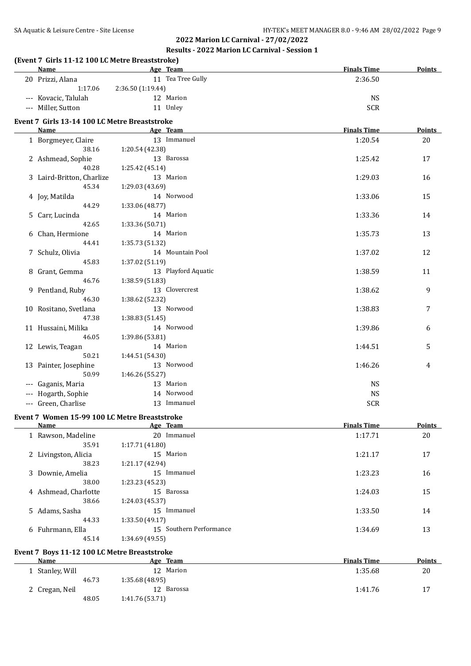# **(Event 7 Girls 11-12 100 LC Metre Breaststroke)**

| <b>Name</b>                                   | Age Team            | <b>Finals Time</b> | <b>Points</b> |
|-----------------------------------------------|---------------------|--------------------|---------------|
| 20 Prizzi, Alana                              | 11 Tea Tree Gully   | 2:36.50            |               |
| 1:17.06                                       | 2:36.50 (1:19.44)   |                    |               |
| --- Kovacic, Talulah                          | 12 Marion           | <b>NS</b>          |               |
| --- Miller, Sutton                            | 11 Unley            | <b>SCR</b>         |               |
| Event 7 Girls 13-14 100 LC Metre Breaststroke |                     |                    |               |
| Name                                          | Age Team            | <b>Finals Time</b> | Points        |
| 1 Borgmeyer, Claire                           | 13 Immanuel         | 1:20.54            | 20            |
| 38.16                                         | 1:20.54 (42.38)     |                    |               |
| 2 Ashmead, Sophie                             | 13 Barossa          | 1:25.42            | 17            |
| 40.28                                         | 1:25.42 (45.14)     |                    |               |
| 3 Laird-Britton, Charlize                     | 13 Marion           | 1:29.03            | 16            |
| 45.34                                         | 1:29.03 (43.69)     |                    |               |
| 4 Joy, Matilda                                | 14 Norwood          | 1:33.06            | 15            |
| 44.29                                         | 1:33.06 (48.77)     |                    |               |
| 5 Carr, Lucinda                               | 14 Marion           | 1:33.36            | 14            |
| 42.65                                         | 1:33.36 (50.71)     |                    |               |
| 6 Chan, Hermione                              | 14 Marion           | 1:35.73            | 13            |
| 44.41                                         | 1:35.73 (51.32)     |                    |               |
| 7 Schulz, Olivia                              | 14 Mountain Pool    | 1:37.02            | 12            |
| 45.83                                         | 1:37.02 (51.19)     |                    |               |
| 8 Grant, Gemma                                | 13 Playford Aquatic | 1:38.59            | 11            |
| 46.76                                         | 1:38.59 (51.83)     |                    |               |
| 9 Pentland, Ruby                              | 13 Clovercrest      | 1:38.62            | 9             |
| 46.30                                         | 1:38.62 (52.32)     |                    |               |
| 10 Rositano, Svetlana                         | 13 Norwood          | 1:38.83            | 7             |
| 47.38                                         | 1:38.83(51.45)      |                    |               |
| 11 Hussaini, Milika                           | 14 Norwood          | 1:39.86            | 6             |
| 46.05                                         | 1:39.86 (53.81)     |                    |               |
| 12 Lewis, Teagan                              | 14 Marion           | 1:44.51            | 5             |
| 50.21                                         | 1:44.51 (54.30)     |                    |               |
| 13 Painter, Josephine                         | 13 Norwood          | 1:46.26            | 4             |
| 50.99                                         | 1:46.26 (55.27)     |                    |               |
| --- Gaganis, Maria                            | 13 Marion           | <b>NS</b>          |               |
| --- Hogarth, Sophie                           | 14 Norwood          | <b>NS</b>          |               |
| --- Green, Charlise                           | 13 Immanuel         | <b>SCR</b>         |               |

#### **Event 7 Women 15-99 100 LC Metre Breaststroke**

| Name                 | Age Team                | <b>Finals Time</b> | <b>Points</b> |
|----------------------|-------------------------|--------------------|---------------|
| 1 Rawson, Madeline   | Immanuel<br>20          | 1:17.71            | 20            |
| 35.91                | 1:17.71(41.80)          |                    |               |
| 2 Livingston, Alicia | 15 Marion               | 1:21.17            | 17            |
| 38.23                | 1:21.17(42.94)          |                    |               |
| 3 Downie, Amelia     | 15<br>Immanuel          | 1:23.23            | 16            |
| 38.00                | 1:23.23 (45.23)         |                    |               |
| 4 Ashmead, Charlotte | 15 Barossa              | 1:24.03            | 15            |
| 38.66                | 1:24.03(45.37)          |                    |               |
| 5 Adams, Sasha       | 15 Immanuel             | 1:33.50            | 14            |
| 44.33                | 1:33.50(49.17)          |                    |               |
| 6 Fuhrmann, Ella     | 15 Southern Performance | 1:34.69            | 13            |
| 45.14                | 1:34.69 (49.55)         |                    |               |

#### **Event 7 Boys 11-12 100 LC Metre Breaststroke**

| Name           |       | Age Team       | <b>Finals Time</b> | <b>Points</b> |
|----------------|-------|----------------|--------------------|---------------|
| Stanley, Will  |       | 12 Marion      | 1:35.68            | 20            |
|                | 46.73 | 1:35.68(48.95) |                    |               |
| 2 Cregan, Neil |       | 12 Barossa     | 1:41.76            | 17            |
|                | 48.05 | 1:41.76(53.71) |                    |               |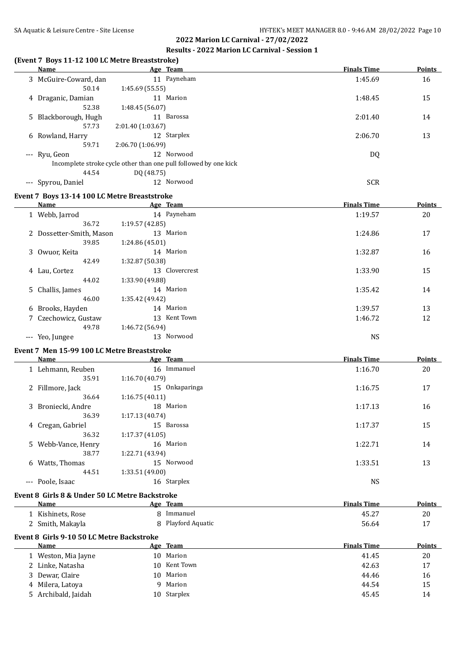| (Event 7 Boys 11-12 100 LC Metre Breaststroke)<br><b>Name</b> | Age Team                                                         | <b>Finals Time</b> | <b>Points</b> |
|---------------------------------------------------------------|------------------------------------------------------------------|--------------------|---------------|
| 3 McGuire-Coward, dan                                         | 11 Payneham                                                      | 1:45.69            | 16            |
| 50.14                                                         | 1:45.69 (55.55)                                                  |                    |               |
| 4 Draganic, Damian                                            | 11 Marion                                                        | 1:48.45            | 15            |
| 52.38                                                         | 1:48.45 (56.07)                                                  |                    |               |
| 5 Blackborough, Hugh                                          | 11 Barossa                                                       | 2:01.40            | 14            |
| 57.73                                                         | 2:01.40 (1:03.67)                                                |                    |               |
| 6 Rowland, Harry                                              | 12 Starplex                                                      | 2:06.70            | 13            |
| 59.71                                                         | 2:06.70 (1:06.99)                                                |                    |               |
| --- Ryu, Geon                                                 | 12 Norwood                                                       | DQ                 |               |
|                                                               | Incomplete stroke cycle other than one pull followed by one kick |                    |               |
| 44.54                                                         | DQ (48.75)<br>12 Norwood                                         | <b>SCR</b>         |               |
| --- Spyrou, Daniel                                            |                                                                  |                    |               |
| Event 7 Boys 13-14 100 LC Metre Breaststroke                  |                                                                  |                    |               |
| Name                                                          | <b>Example 2</b> Age Team                                        | <b>Finals Time</b> | <b>Points</b> |
| 1 Webb, Jarrod<br>36.72                                       | 14 Payneham                                                      | 1:19.57            | 20            |
|                                                               | 1:19.57 (42.85)<br>13 Marion                                     |                    |               |
| 2 Dossetter-Smith, Mason<br>39.85                             | 1:24.86 (45.01)                                                  | 1:24.86            | 17            |
| 3 Owuor, Keita                                                | 14 Marion                                                        | 1:32.87            | 16            |
| 42.49                                                         | 1:32.87 (50.38)                                                  |                    |               |
| 4 Lau, Cortez                                                 | 13 Clovercrest                                                   | 1:33.90            | 15            |
| 44.02                                                         | 1:33.90 (49.88)                                                  |                    |               |
| 5 Challis, James                                              | 14 Marion                                                        | 1:35.42            | 14            |
| 46.00                                                         | 1:35.42 (49.42)                                                  |                    |               |
| 6 Brooks, Hayden                                              | 14 Marion                                                        | 1:39.57            | 13            |
| 7 Czechowicz, Gustaw                                          | 13 Kent Town                                                     | 1:46.72            | 12            |
| 49.78                                                         | 1:46.72 (56.94)                                                  |                    |               |
| --- Yeo, Jungee                                               | 13 Norwood                                                       | <b>NS</b>          |               |
| Event 7 Men 15-99 100 LC Metre Breaststroke                   |                                                                  |                    |               |
| Name                                                          | Age Team                                                         | <b>Finals Time</b> | Points        |
| 1 Lehmann, Reuben                                             | 16 Immanuel                                                      | 1:16.70            | 20            |
| 35.91                                                         | 1:16.70 (40.79)                                                  |                    |               |
| 2 Fillmore, Jack                                              | 15 Onkaparinga                                                   | 1:16.75            | 17            |
| 36.64                                                         | 1:16.75(40.11)                                                   |                    |               |
| 3 Broniecki, Andre                                            | 18 Marion                                                        | 1:17.13            | 16            |
| 36.39                                                         | 1:17.13 (40.74)                                                  |                    |               |
| 4 Cregan, Gabriel                                             | 15 Barossa                                                       | 1:17.37            | 15            |
| 36.32                                                         | 1:17.37 (41.05)                                                  |                    |               |
| 5 Webb-Vance, Henry                                           | 16 Marion                                                        | 1:22.71            | 14            |
| 38.77                                                         | 1:22.71 (43.94)                                                  |                    |               |
| 6 Watts, Thomas                                               | 15 Norwood                                                       | 1:33.51            | 13            |
| 44.51                                                         | 1:33.51 (49.00)                                                  |                    |               |
| --- Poole, Isaac                                              | 16 Starplex                                                      | <b>NS</b>          |               |
| Event 8 Girls 8 & Under 50 LC Metre Backstroke                |                                                                  |                    |               |
| Name                                                          | Age Team                                                         | <b>Finals Time</b> | <b>Points</b> |
| 1 Kishinets, Rose                                             | 8 Immanuel                                                       | 45.27              | 20            |
| 2 Smith, Makayla                                              | 8 Playford Aquatic                                               | 56.64              | 17            |
| Event 8 Girls 9-10 50 LC Metre Backstroke                     |                                                                  |                    |               |
| <b>Name</b>                                                   | Age Team                                                         | <b>Finals Time</b> | <b>Points</b> |
| 1 Weston, Mia Jayne                                           | 10 Marion                                                        | 41.45              | 20            |
| 2 Linke, Natasha                                              | 10 Kent Town                                                     | 42.63              | 17            |
| 3 Dewar, Claire                                               | 10 Marion                                                        | 44.46              | 16            |

4 Milera, Latoya 15 5 Archibald, Jaidah 10 Starplex 45.45 14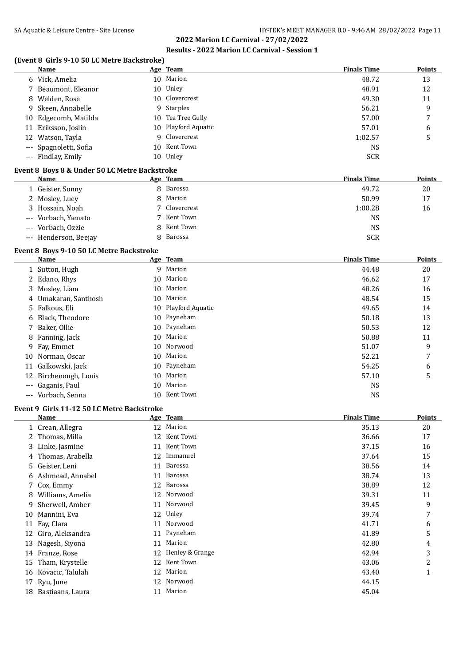#### **(Event 8 Girls 9-10 50 LC Metre Backstroke)**

| <b>Name</b>            |     | Age Team            | <b>Finals Time</b> | <b>Points</b> |
|------------------------|-----|---------------------|--------------------|---------------|
| 6 Vick, Amelia         |     | 10 Marion           | 48.72              | 13            |
| 7 Beaumont, Eleanor    | 10  | Unley               | 48.91              | 12            |
| 8 Welden, Rose         |     | 10 Clovercrest      | 49.30              | 11            |
| 9 Skeen, Annabelle     |     | 9 Starplex          | 56.21              | 9             |
| 10 Edgecomb, Matilda   |     | 10 Tea Tree Gully   | 57.00              | 7             |
| 11 Eriksson, Joslin    |     | 10 Playford Aquatic | 57.01              | 6             |
| 12 Watson, Tayla       |     | 9 Clovercrest       | 1:02.57            |               |
| --- Spagnoletti, Sofia | 10. | Kent Town           | <b>NS</b>          |               |
| --- Findlay, Emily     | 10  | Unley               | <b>SCR</b>         |               |

#### **Event 8 Boys 8 & Under 50 LC Metre Backstroke**

| <b>Name</b>           | Age Team      | <b>Finals Time</b> | <b>Points</b> |
|-----------------------|---------------|--------------------|---------------|
| 1 Geister, Sonny      | 8 Barossa     | 49.72              | 20            |
| 2 Mosley, Luey        | 8 Marion      | 50.99              | 17            |
| 3 Hossain, Noah       | 7 Clovercrest | 1:00.28            | 16            |
| --- Vorbach, Yamato   | 7 Kent Town   | NS                 |               |
| --- Vorbach, Ozzie    | 8 Kent Town   | NS                 |               |
| --- Henderson, Beejay | 8 Barossa     | <b>SCR</b>         |               |

#### **Event 8 Boys 9-10 50 LC Metre Backstroke**

|       | Name                  |    | Age Team            | <b>Finals Time</b> | <b>Points</b> |
|-------|-----------------------|----|---------------------|--------------------|---------------|
|       | 1 Sutton, Hugh        |    | 9 Marion            | 44.48              | 20            |
|       | 2 Edano, Rhys         |    | 10 Marion           | 46.62              | 17            |
|       | 3 Mosley, Liam        |    | 10 Marion           | 48.26              | 16            |
|       | 4 Umakaran, Santhosh  | 10 | Marion              | 48.54              | 15            |
|       | 5 Falkous, Eli        |    | 10 Playford Aquatic | 49.65              | 14            |
|       | 6 Black, Theodore     | 10 | Payneham            | 50.18              | 13            |
|       | 7 Baker, Ollie        |    | 10 Payneham         | 50.53              | 12            |
|       | 8 Fanning, Jack       | 10 | Marion              | 50.88              | 11            |
|       | 9 Fay, Emmet          |    | 10 Norwood          | 51.07              | 9             |
|       | 10 Norman, Oscar      | 10 | Marion              | 52.21              | 7             |
|       | 11 Galkowski, Jack    |    | 10 Payneham         | 54.25              | 6             |
|       | 12 Birchenough, Louis | 10 | Marion              | 57.10              | 5             |
| $---$ | Gaganis, Paul         | 10 | Marion              | <b>NS</b>          |               |
| $---$ | Vorbach, Senna        | 10 | Kent Town           | <b>NS</b>          |               |

#### **Event 9 Girls 11-12 50 LC Metre Backstroke**

|    | Name               |    | Age Team        | <b>Finals Time</b> | <b>Points</b> |
|----|--------------------|----|-----------------|--------------------|---------------|
|    | 1 Crean, Allegra   |    | 12 Marion       | 35.13              | 20            |
|    | 2 Thomas, Milla    | 12 | Kent Town       | 36.66              | 17            |
|    | 3 Linke, Jasmine   | 11 | Kent Town       | 37.15              | 16            |
|    | 4 Thomas, Arabella | 12 | Immanuel        | 37.64              | 15            |
|    | 5 Geister, Leni    | 11 | Barossa         | 38.56              | 14            |
|    | 6 Ashmead, Annabel | 11 | Barossa         | 38.74              | 13            |
|    | 7 Cox, Emmy        | 12 | Barossa         | 38.89              | 12            |
| 8. | Williams, Amelia   | 12 | Norwood         | 39.31              | 11            |
| 9  | Sherwell, Amber    | 11 | Norwood         | 39.45              | 9             |
| 10 | Mannini, Eva       | 12 | Unley           | 39.74              | 7             |
|    | 11 Fay, Clara      | 11 | Norwood         | 41.71              | 6             |
| 12 | Giro, Aleksandra   |    | 11 Payneham     | 41.89              | 5             |
| 13 | Nagesh, Siyona     | 11 | Marion          | 42.80              | 4             |
| 14 | Franze, Rose       | 12 | Henley & Grange | 42.94              | 3             |
| 15 | Tham, Krystelle    | 12 | Kent Town       | 43.06              | 2             |
| 16 | Kovacic, Talulah   | 12 | Marion          | 43.40              | $\mathbf{1}$  |
| 17 | Ryu, June          | 12 | Norwood         | 44.15              |               |
| 18 | Bastiaans, Laura   | 11 | Marion          | 45.04              |               |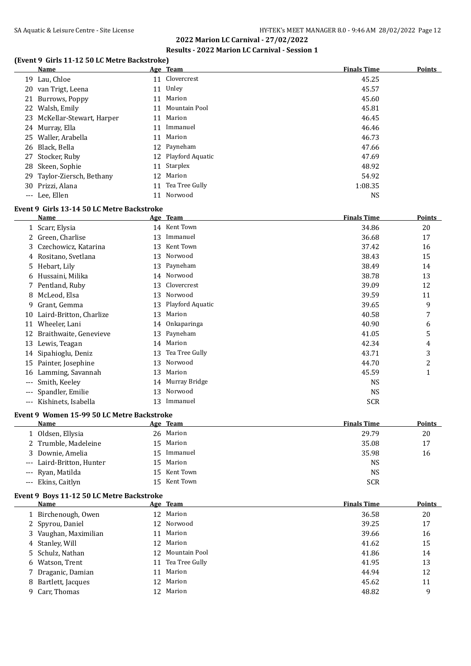#### **(Event 9 Girls 11-12 50 LC Metre Backstroke)**

|    | <b>Name</b>                                |    | Age Team         | <b>Finals Time</b> | <b>Points</b> |
|----|--------------------------------------------|----|------------------|--------------------|---------------|
| 19 | Lau, Chloe                                 | 11 | Clovercrest      | 45.25              |               |
| 20 | van Trigt, Leena                           | 11 | Unley            | 45.57              |               |
| 21 | Burrows, Poppy                             | 11 | Marion           | 45.60              |               |
| 22 | Walsh, Emily                               | 11 | Mountain Pool    | 45.81              |               |
| 23 | McKellar-Stewart, Harper                   | 11 | Marion           | 46.45              |               |
|    | 24 Murray, Ella                            | 11 | Immanuel         | 46.46              |               |
| 25 | Waller, Arabella                           | 11 | Marion           | 46.73              |               |
| 26 | Black, Bella                               | 12 | Payneham         | 47.66              |               |
| 27 | Stocker, Ruby                              | 12 | Playford Aquatic | 47.69              |               |
| 28 | Skeen, Sophie                              | 11 | Starplex         | 48.92              |               |
| 29 | Taylor-Ziersch, Bethany                    | 12 | Marion           | 54.92              |               |
| 30 | Prizzi, Alana                              | 11 | Tea Tree Gully   | 1:08.35            |               |
|    | --- Lee, Ellen                             | 11 | Norwood          | <b>NS</b>          |               |
|    | Event 9 Girls 13-14 50 LC Metre Backstroke |    |                  |                    |               |
|    | Name                                       |    | Age Team         | <b>Finals Time</b> | <b>Points</b> |
|    | 1 Scarr, Elysia                            | 14 | Kent Town        | 34.86              | 20            |
| 2. | Green, Charlise                            | 13 | Immanuel         | 36.68              | 17            |
| 3  | Czechowicz, Katarina                       | 13 | Kent Town        | 37.42              | 16            |
|    | 4 Rositano, Svetlana                       | 13 | Norwood          | 38.43              | 15            |
| 5. | Hebart, Lily                               | 13 | Payneham         | 38.49              | 14            |
|    | 6 Hussaini, Milika                         |    | 14 Norwood       | 38.78              | 13            |

|                     | <i>Rositano</i> , <i>b etama</i> |    |                     | ----       | ᅩ              |
|---------------------|----------------------------------|----|---------------------|------------|----------------|
|                     | 5 Hebart, Lily                   |    | 13 Payneham         | 38.49      | 14             |
|                     | 6 Hussaini, Milika               |    | 14 Norwood          | 38.78      | 13             |
|                     | 7 Pentland, Ruby                 |    | 13 Clovercrest      | 39.09      | 12             |
|                     | 8 McLeod, Elsa                   |    | 13 Norwood          | 39.59      | 11             |
| 9.                  | Grant, Gemma                     |    | 13 Playford Aquatic | 39.65      | 9              |
|                     | 10 Laird-Britton, Charlize       |    | 13 Marion           | 40.58      | 7              |
|                     | 11 Wheeler, Lani                 |    | 14 Onkaparinga      | 40.90      | 6              |
|                     | 12 Braithwaite, Genevieve        |    | 13 Payneham         | 41.05      | 5              |
| 13                  | Lewis, Teagan                    |    | 14 Marion           | 42.34      | 4              |
|                     | 14 Sipahioglu, Deniz             |    | 13 Tea Tree Gully   | 43.71      | 3              |
|                     | 15 Painter, Josephine            |    | 13 Norwood          | 44.70      | $\overline{c}$ |
|                     | 16 Lamming, Savannah             |    | 13 Marion           | 45.59      |                |
|                     | --- Smith, Keeley                |    | 14 Murray Bridge    | <b>NS</b>  |                |
|                     | --- Spandler, Emilie             |    | 13 Norwood          | <b>NS</b>  |                |
| $\qquad \qquad - -$ | Kishinets, Isabella              | 13 | Immanuel            | <b>SCR</b> |                |

#### **Event 9 Women 15-99 50 LC Metre Backstroke**

| <b>Name</b>               | <u>Age Team</u> | <b>Finals Time</b> | <b>Points</b> |
|---------------------------|-----------------|--------------------|---------------|
| 1 Oldsen, Ellysia         | 26 Marion       | 29.79              | 20            |
| 2 Trumble, Madeleine      | 15 Marion       | 35.08              | 17            |
| 3 Downie, Amelia          | 15 Immanuel     | 35.98              | 16            |
| --- Laird-Britton, Hunter | 15 Marion       | NS                 |               |
| --- Ryan, Matilda         | 15 Kent Town    | NS                 |               |
| --- Ekins, Caitlyn        | 15 Kent Town    | <b>SCR</b>         |               |

#### **Event 9 Boys 11-12 50 LC Metre Backstroke**

| Name                  |    | Age Team         | <b>Finals Time</b> | <b>Points</b> |
|-----------------------|----|------------------|--------------------|---------------|
| 1 Birchenough, Owen   |    | 12 Marion        | 36.58              | 20            |
| 2 Spyrou, Daniel      |    | 12 Norwood       | 39.25              | 17            |
| 3 Vaughan, Maximilian |    | 11 Marion        | 39.66              | 16            |
| 4 Stanley, Will       |    | 12 Marion        | 41.62              | 15            |
| 5 Schulz, Nathan      |    | 12 Mountain Pool | 41.86              | 14            |
| 6 Watson, Trent       | 11 | Tea Tree Gully   | 41.95              | 13            |
| 7 Draganic, Damian    |    | 11 Marion        | 44.94              | 12            |
| 8 Bartlett, Jacques   |    | 12 Marion        | 45.62              | 11            |
| 9 Carr, Thomas        |    | 12 Marion        | 48.82              | 9             |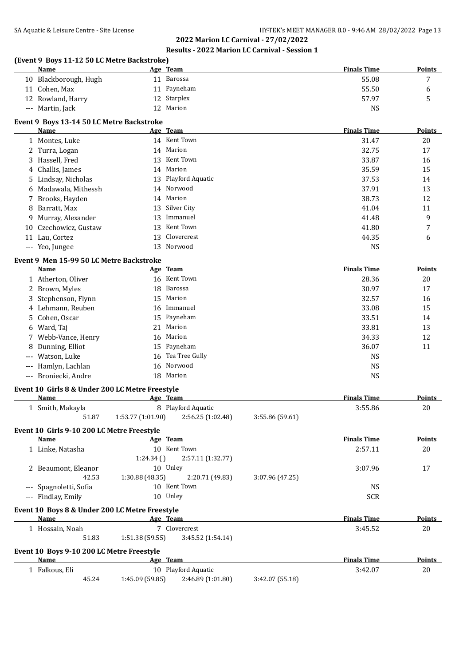|    | (Event 9 Boys 11-12 50 LC Metre Backstroke)<br>Name      |                   | Age Team            |                 | <b>Finals Time</b> | Points        |
|----|----------------------------------------------------------|-------------------|---------------------|-----------------|--------------------|---------------|
|    | 10 Blackborough, Hugh                                    |                   | 11 Barossa          |                 | 55.08              | 7             |
|    | 11 Cohen, Max                                            |                   | 11 Payneham         |                 | 55.50              | 6             |
|    | 12 Rowland, Harry                                        |                   | 12 Starplex         |                 | 57.97              | 5             |
|    | --- Martin, Jack                                         |                   | 12 Marion           |                 | <b>NS</b>          |               |
|    |                                                          |                   |                     |                 |                    |               |
|    | Event 9 Boys 13-14 50 LC Metre Backstroke                |                   |                     |                 |                    |               |
|    | Name                                                     |                   | Age Team            |                 | <b>Finals Time</b> | <b>Points</b> |
|    | 1 Montes, Luke                                           |                   | 14 Kent Town        |                 | 31.47              | 20            |
|    | 2 Turra, Logan                                           |                   | 14 Marion           |                 | 32.75              | 17            |
| 3  | Hassell, Fred                                            | 13                | Kent Town           |                 | 33.87              | 16            |
| 4  | Challis, James                                           | 14                | Marion              |                 | 35.59              | 15            |
| 5  | Lindsay, Nicholas                                        | 13                | Playford Aquatic    |                 | 37.53              | 14            |
| 6  | Madawala, Mithessh                                       | 14                | Norwood             |                 | 37.91              | 13            |
| 7  | Brooks, Hayden                                           |                   | 14 Marion           |                 | 38.73              | 12            |
| 8  | Barratt, Max                                             | 13                | Silver City         |                 | 41.04              | 11            |
| 9  | Murray, Alexander                                        | 13                | Immanuel            |                 | 41.48              | 9             |
| 10 | Czechowicz, Gustaw                                       | 13                | Kent Town           |                 | 41.80              | 7             |
|    | 11 Lau, Cortez                                           | 13                | Clovercrest         |                 | 44.35              | 6             |
|    | --- Yeo, Jungee                                          | 13                | Norwood             |                 | <b>NS</b>          |               |
|    | Event 9 Men 15-99 50 LC Metre Backstroke                 |                   |                     |                 |                    |               |
|    | Name                                                     |                   | Age Team            |                 | <b>Finals Time</b> | <b>Points</b> |
|    | 1 Atherton, Oliver                                       |                   | 16 Kent Town        |                 | 28.36              | 20            |
|    | 2 Brown, Myles                                           | 18                | Barossa             |                 | 30.97              | 17            |
|    |                                                          |                   | Marion              |                 |                    |               |
| 3  | Stephenson, Flynn                                        | 15                | Immanuel            |                 | 32.57              | 16            |
| 4  | Lehmann, Reuben                                          | 16                |                     |                 | 33.08              | 15            |
| 5  | Cohen, Oscar                                             | 15                | Payneham            |                 | 33.51              | 14            |
| 6  | Ward, Taj                                                | 21                | Marion              |                 | 33.81              | 13            |
| 7  | Webb-Vance, Henry                                        | 16                | Marion              |                 | 34.33              | 12            |
| 8  | Dunning, Elliot                                          | 15                | Payneham            |                 | 36.07              | 11            |
|    | Watson, Luke                                             | 16                | Tea Tree Gully      |                 | <b>NS</b>          |               |
|    | Hamlyn, Lachlan                                          | 16                | Norwood             |                 | <b>NS</b>          |               |
|    | --- Broniecki, Andre                                     |                   | 18 Marion           |                 | <b>NS</b>          |               |
|    | Event 10 Girls 8 & Under 200 LC Metre Freestyle          |                   |                     |                 |                    |               |
|    | Name                                                     |                   | Age Team            |                 | <b>Finals Time</b> | Points        |
|    | 1 Smith, Makayla                                         |                   | 8 Playford Aquatic  |                 | 3:55.86            | 20            |
|    | 51.87                                                    | 1:53.77 (1:01.90) | 2:56.25 (1:02.48)   | 3:55.86 (59.61) |                    |               |
|    |                                                          |                   |                     |                 |                    |               |
|    | Event 10 Girls 9-10 200 LC Metre Freestyle               |                   |                     |                 |                    |               |
|    | Name                                                     |                   | Age Team            |                 | <b>Finals Time</b> | <b>Points</b> |
|    | 1 Linke, Natasha                                         |                   | 10 Kent Town        |                 | 2:57.11            | 20            |
|    |                                                          | 1:24.34()         | 2:57.11 (1:32.77)   |                 |                    |               |
|    | 2 Beaumont, Eleanor                                      |                   | 10 Unley            |                 | 3:07.96            | 17            |
|    | 42.53                                                    | 1:30.88 (48.35)   | 2:20.71 (49.83)     | 3:07.96 (47.25) |                    |               |
|    | --- Spagnoletti, Sofia                                   |                   | 10 Kent Town        |                 | <b>NS</b>          |               |
|    | --- Findlay, Emily                                       |                   | 10 Unley            |                 | <b>SCR</b>         |               |
|    | Event 10 Boys 8 & Under 200 LC Metre Freestyle           |                   |                     |                 |                    |               |
|    | Name                                                     |                   | Age Team            |                 | <b>Finals Time</b> | <b>Points</b> |
|    | 1 Hossain, Noah                                          |                   | 7 Clovercrest       |                 | 3:45.52            | 20            |
|    | 51.83                                                    | 1:51.38(59.55)    | 3:45.52 (1:54.14)   |                 |                    |               |
|    |                                                          |                   |                     |                 |                    |               |
|    | Event 10 Boys 9-10 200 LC Metre Freestyle<br><b>Name</b> |                   | Age Team            |                 | <b>Finals Time</b> | <b>Points</b> |
|    |                                                          |                   | 10 Playford Aquatic |                 |                    |               |
|    | 1 Falkous, Eli                                           |                   |                     |                 | 3:42.07            | 20            |
|    | 45.24                                                    | 1:45.09 (59.85)   | 2:46.89 (1:01.80)   | 3:42.07 (55.18) |                    |               |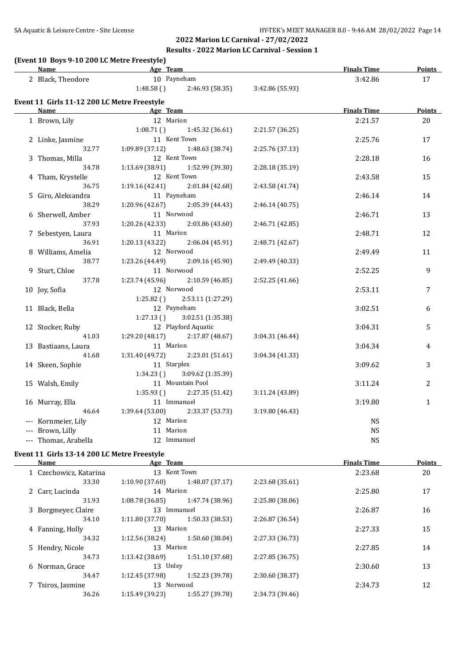#### SA Aquatic & Leisure Centre - Site License **HY-TEK's MEET MANAGER 8.0 - 9:46 AM 28/02/2022** Page 14

# **2022 Marion LC Carnival - 27/02/2022 Results - 2022 Marion LC Carnival - Session 1**

#### **(Event 10 Boys 9-10 200 LC Metre Freestyle)**

| <b>Name</b>                                                                      | Age Team                                                                                                                                                                                                                            |                                                  |                 | <b>Finals Time</b> | <b>Points</b> |
|----------------------------------------------------------------------------------|-------------------------------------------------------------------------------------------------------------------------------------------------------------------------------------------------------------------------------------|--------------------------------------------------|-----------------|--------------------|---------------|
| 2 Black, Theodore                                                                | 10 Payneham                                                                                                                                                                                                                         |                                                  |                 | 3:42.86            | 17            |
|                                                                                  |                                                                                                                                                                                                                                     | $1:48.58$ () $2:46.93$ (58.35) $3:42.86$ (55.93) |                 |                    |               |
| Event 11 Girls 11-12 200 LC Metre Freestyle                                      |                                                                                                                                                                                                                                     |                                                  |                 |                    |               |
| Name                                                                             | <b>Example 2018 Age Team</b> Age Team and the same of the same of the same of the same of the same of the same of the same of the same of the same of the same of the same of the same of the same of the same of the same of the s |                                                  |                 | <b>Finals Time</b> | <b>Points</b> |
| 1 Brown, Lily                                                                    | 12 Marion                                                                                                                                                                                                                           |                                                  |                 | 2:21.57            | 20            |
|                                                                                  |                                                                                                                                                                                                                                     | $1:08.71$ () $1:45.32$ (36.61)                   | 2:21.57 (36.25) |                    |               |
| 2 Linke, Jasmine                                                                 | 11 Kent Town                                                                                                                                                                                                                        |                                                  |                 | 2:25.76            | 17            |
| 32.77                                                                            | $1:09.89(37.12)$ $1:48.63(38.74)$                                                                                                                                                                                                   |                                                  | 2:25.76 (37.13) |                    |               |
| 3 Thomas, Milla                                                                  | 12 Kent Town                                                                                                                                                                                                                        |                                                  |                 | 2:28.18            | 16            |
| 34.78                                                                            | $1:13.69$ (38.91) $1:52.99$ (39.30)                                                                                                                                                                                                 |                                                  | 2:28.18 (35.19) |                    |               |
| 4 Tham, Krystelle                                                                | 12 Kent Town                                                                                                                                                                                                                        |                                                  |                 | 2:43.58            | 15            |
| 36.75                                                                            | 1:19.16(42.41)                                                                                                                                                                                                                      | 2:01.84 (42.68)                                  | 2:43.58 (41.74) |                    |               |
| 5 Giro, Aleksandra                                                               | 11 Payneham                                                                                                                                                                                                                         |                                                  |                 | 2:46.14            | 14            |
| 38.29                                                                            | 1:20.96 (42.67)                                                                                                                                                                                                                     | 2:05.39 (44.43)                                  | 2:46.14(40.75)  |                    |               |
| 6 Sherwell, Amber                                                                | 11 Norwood                                                                                                                                                                                                                          |                                                  |                 | 2:46.71            | 13            |
| 37.93                                                                            | 1:20.26 (42.33)                                                                                                                                                                                                                     | 2:03.86 (43.60)                                  | 2:46.71 (42.85) |                    |               |
| 7 Sebestyen, Laura                                                               | 11 Marion                                                                                                                                                                                                                           |                                                  |                 | 2:48.71            | 12            |
| 36.91                                                                            | $1:20.13(43.22)$ $2:06.04(45.91)$                                                                                                                                                                                                   |                                                  | 2:48.71 (42.67) |                    |               |
| 8 Williams, Amelia                                                               | 12 Norwood                                                                                                                                                                                                                          |                                                  |                 | 2:49.49            | 11            |
| 38.77                                                                            | 1:23.26 (44.49)                                                                                                                                                                                                                     | 2:09.16 (45.90)                                  | 2:49.49 (40.33) |                    |               |
| 9 Sturt, Chloe                                                                   | 11 Norwood                                                                                                                                                                                                                          |                                                  |                 | 2:52.25            | 9             |
| 37.78                                                                            | 1:23.74(45.96)                                                                                                                                                                                                                      | 2:10.59(46.85)                                   | 2:52.25(41.66)  |                    |               |
| 10 Joy, Sofia                                                                    | 12 Norwood                                                                                                                                                                                                                          |                                                  |                 | 2:53.11            | 7             |
|                                                                                  | 1:25.82(                                                                                                                                                                                                                            | 2:53.11 (1:27.29)                                |                 |                    |               |
| 11 Black, Bella                                                                  | 12 Payneham                                                                                                                                                                                                                         |                                                  |                 | 3:02.51            | 6             |
|                                                                                  | 1:27.13()                                                                                                                                                                                                                           | 3:02.51 (1:35.38)                                |                 |                    |               |
| 12 Stocker, Ruby                                                                 |                                                                                                                                                                                                                                     | 12 Playford Aquatic                              |                 | 3:04.31            | 5             |
| 41.03                                                                            | $1:29.20(48.17)$ $2:17.87(48.67)$                                                                                                                                                                                                   |                                                  | 3:04.31 (46.44) |                    |               |
| 13 Bastiaans, Laura                                                              | 11 Marion                                                                                                                                                                                                                           |                                                  |                 | 3:04.34            | 4             |
| 41.68                                                                            | $1:31.40(49.72)$ $2:23.01(51.61)$                                                                                                                                                                                                   |                                                  | 3:04.34 (41.33) |                    |               |
| 14 Skeen, Sophie                                                                 | 11 Starplex                                                                                                                                                                                                                         |                                                  |                 | 3:09.62            | 3             |
|                                                                                  | 1:34.23()                                                                                                                                                                                                                           | 3:09.62 (1:35.39)                                |                 |                    |               |
| 15 Walsh, Emily                                                                  | 11 Mountain Pool                                                                                                                                                                                                                    |                                                  |                 | 3:11.24            | 2             |
|                                                                                  | 1:35.93()                                                                                                                                                                                                                           | 2:27.35 (51.42)                                  | 3:11.24 (43.89) |                    |               |
| 16 Murray, Ella                                                                  | 11 Immanuel                                                                                                                                                                                                                         |                                                  |                 | 3:19.80            | $\mathbf{1}$  |
| 46.64                                                                            | 1:39.64 (53.00)                                                                                                                                                                                                                     | 2:33.37 (53.73)                                  | 3:19.80 (46.43) |                    |               |
| --- Kornmeier, Lily                                                              | 12 Marion                                                                                                                                                                                                                           |                                                  |                 | <b>NS</b>          |               |
| --- Brown, Lilly                                                                 | 11 Marion                                                                                                                                                                                                                           |                                                  |                 | <b>NS</b>          |               |
| --- Thomas, Arabella                                                             | 12 Immanuel                                                                                                                                                                                                                         |                                                  |                 | <b>NS</b>          |               |
| $F_{\text{scath}}$ 44 $G_{\text{in}}$ 49 44 900 LC Metre $F_{\text{scast}}$ that |                                                                                                                                                                                                                                     |                                                  |                 |                    |               |

#### **Event 11 Girls 13-14 200 LC Metre Freestyle**

| Name                   | Age Team        |                 |                 | <b>Finals Time</b> | <b>Points</b> |
|------------------------|-----------------|-----------------|-----------------|--------------------|---------------|
| 1 Czechowicz, Katarina | 13 Kent Town    |                 |                 | 2:23.68            | 20            |
| 33.30                  | 1:10.90(37.60)  | 1:48.07 (37.17) | 2:23.68 (35.61) |                    |               |
| 2 Carr, Lucinda        | 14 Marion       |                 |                 | 2:25.80            | 17            |
| 31.93                  | 1:08.78(36.85)  | 1:47.74 (38.96) | 2:25.80 (38.06) |                    |               |
| 3 Borgmeyer, Claire    | 13 Immanuel     |                 |                 | 2:26.87            | 16            |
| 34.10                  | 1:11.80(37.70)  | 1:50.33 (38.53) | 2:26.87 (36.54) |                    |               |
| 4 Fanning, Holly       | 13 Marion       |                 |                 | 2:27.33            | 15            |
| 34.32                  | 1:12.56(38.24)  | 1:50.60 (38.04) | 2:27.33 (36.73) |                    |               |
| 5 Hendry, Nicole       | 13 Marion       |                 |                 | 2:27.85            | 14            |
| 34.73                  | 1:13.42(38.69)  | 1:51.10 (37.68) | 2:27.85 (36.75) |                    |               |
| 6 Norman, Grace        | 13 Unley        |                 |                 | 2:30.60            | 13            |
| 34.47                  | 1:12.45 (37.98) | 1:52.23 (39.78) | 2:30.60 (38.37) |                    |               |
| 7 Tsiros, Jasmine      | 13 Norwood      |                 |                 | 2:34.73            | 12            |
| 36.26                  | 1:15.49 (39.23) | 1:55.27 (39.78) | 2:34.73 (39.46) |                    |               |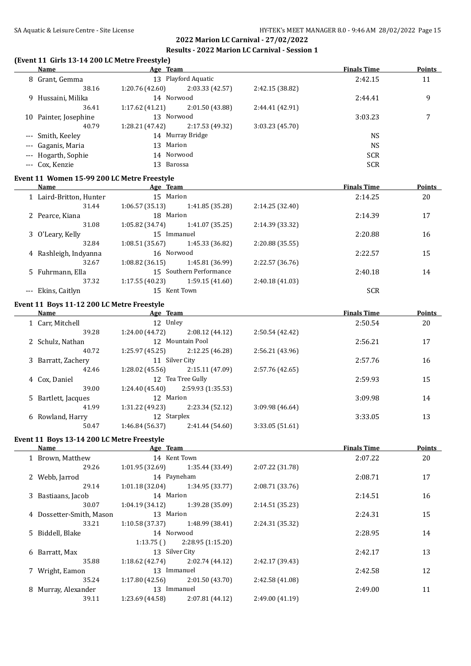| (Event 11 Girls 13-14 200 LC Metre Freestyle)<br><b>Name</b> | <b>Example 2016</b> Age Team |                                     |                 | <b>Finals Time</b> | <b>Points</b> |
|--------------------------------------------------------------|------------------------------|-------------------------------------|-----------------|--------------------|---------------|
| 8 Grant, Gemma                                               |                              | 13 Playford Aquatic                 |                 | 2:42.15            | 11            |
| 38.16                                                        |                              | $1:20.76(42.60)$ $2:03.33(42.57)$   | 2:42.15 (38.82) |                    |               |
| 9 Hussaini, Milika                                           | 14 Norwood                   |                                     |                 | 2:44.41            | 9             |
| 36.41                                                        | 1:17.62(41.21)               | 2:01.50 (43.88)                     | 2:44.41 (42.91) |                    |               |
| 10 Painter, Josephine                                        | 13 Norwood                   |                                     |                 | 3:03.23            | 7             |
| 40.79                                                        | 1:28.21 (47.42)              | 2:17.53 (49.32)                     | 3:03.23 (45.70) |                    |               |
| --- Smith, Keeley                                            |                              | 14 Murray Bridge                    |                 | <b>NS</b>          |               |
| --- Gaganis, Maria                                           | 13 Marion                    |                                     |                 | <b>NS</b>          |               |
| --- Hogarth, Sophie                                          | 14 Norwood                   |                                     |                 | <b>SCR</b>         |               |
| --- Cox, Kenzie                                              | 13 Barossa                   |                                     |                 | <b>SCR</b>         |               |
| Event 11 Women 15-99 200 LC Metre Freestyle                  |                              |                                     |                 |                    |               |
| Name                                                         | Age Team                     |                                     |                 | <b>Finals Time</b> | Points        |
| 1 Laird-Britton, Hunter                                      | 15 Marion                    |                                     |                 | 2:14.25            | 20            |
| 31.44                                                        | 1:06.57(35.13)               | 1:41.85 (35.28)                     | 2:14.25 (32.40) |                    |               |
| 2 Pearce, Kiana                                              | 18 Marion                    |                                     |                 | 2:14.39            | 17            |
| 31.08                                                        | 1:05.82 (34.74)              | 1:41.07 (35.25)                     | 2:14.39 (33.32) |                    |               |
| 3 O'Leary, Kelly                                             | 15 Immanuel                  |                                     |                 | 2:20.88            | 16            |
| 32.84                                                        | 1:08.51(35.67)               | 1:45.33 (36.82)                     | 2:20.88 (35.55) |                    |               |
| 4 Rashleigh, Indyanna                                        | 16 Norwood                   |                                     |                 | 2:22.57            | 15            |
| 32.67                                                        | 1:08.82(36.15)               | 1:45.81 (36.99)                     | 2:22.57 (36.76) |                    |               |
| 5 Fuhrmann, Ella                                             |                              | 15 Southern Performance             |                 | 2:40.18            | 14            |
| 37.32                                                        | 1:17.55(40.23)               | 1:59.15(41.60)                      | 2:40.18 (41.03) |                    |               |
| --- Ekins, Caitlyn                                           |                              | 15 Kent Town                        |                 | <b>SCR</b>         |               |
| Event 11 Boys 11-12 200 LC Metre Freestyle                   |                              |                                     |                 |                    |               |
| Name                                                         | <b>Example 2016</b> Age Team |                                     |                 | <b>Finals Time</b> | Points        |
| 1 Carr, Mitchell                                             | 12 Unley                     |                                     |                 | 2:50.54            | 20            |
| 39.28                                                        | 1:24.00 (44.72)              | 2:08.12 (44.12)                     | 2:50.54 (42.42) |                    |               |
| 2 Schulz, Nathan                                             |                              | 12 Mountain Pool                    |                 | 2:56.21            | 17            |
| 40.72                                                        |                              | $1:25.97(45.25)$ $2:12.25(46.28)$   | 2:56.21 (43.96) |                    |               |
| 3 Barratt, Zachery                                           | 11 Silver City               |                                     |                 | 2:57.76            | 16            |
| 42.46                                                        |                              | $1:28.02$ (45.56) $2:15.11$ (47.09) | 2:57.76 (42.65) |                    |               |
| 4 Cox, Daniel                                                |                              | 12 Tea Tree Gully                   |                 | 2:59.93            | 15            |
| 39.00                                                        | 1:24.40 (45.40)              | 2:59.93 (1:35.53)                   |                 |                    |               |
| 5 Bartlett, Jacques                                          | 12 Marion                    |                                     |                 | 3:09.98            | 14            |
| 41.99                                                        | 1:31.22 (49.23)              | 2:23.34 (52.12)                     | 3:09.98 (46.64) |                    |               |
| 6 Rowland, Harry                                             | 12 Starplex                  |                                     |                 | 3:33.05            | 13            |
| 50.47                                                        | 1:46.84 (56.37)              | 2:41.44 (54.60)                     | 3:33.05 (51.61) |                    |               |
|                                                              |                              |                                     |                 |                    |               |
| Event 11 Boys 13-14 200 LC Metre Freestyle<br>Name           | Age Team                     |                                     |                 | <b>Finals Time</b> | <b>Points</b> |
| 1 Brown, Matthew                                             |                              | 14 Kent Town                        |                 | 2:07.22            | 20            |
| 29.26                                                        | 1:01.95 (32.69)              | 1:35.44 (33.49)                     | 2:07.22 (31.78) |                    |               |
| 2 Webb, Jarrod                                               | 14 Payneham                  |                                     |                 | 2:08.71            | 17            |
| 29.14                                                        | 1:01.18 (32.04)              | 1:34.95 (33.77)                     | 2:08.71 (33.76) |                    |               |
| 3 Bastiaans, Jacob                                           | 14 Marion                    |                                     |                 | 2:14.51            | 16            |
|                                                              |                              |                                     |                 |                    |               |

| 3 Bastiaans, Jacob       | 14 Marion       |                  |                 | 2:14.51 | 16 |
|--------------------------|-----------------|------------------|-----------------|---------|----|
| 30.07                    | 1:04.19(34.12)  | 1:39.28 (35.09)  | 2:14.51 (35.23) |         |    |
| 4 Dossetter-Smith, Mason | 13 Marion       |                  |                 | 2:24.31 | 15 |
| 33.21                    | 1:10.58(37.37)  | 1:48.99 (38.41)  | 2:24.31 (35.32) |         |    |
| 5 Biddell, Blake         | 14 Norwood      |                  |                 | 2:28.95 | 14 |
|                          | 1:13.75(        | 2:28.95(1:15.20) |                 |         |    |
| 6 Barratt, Max           |                 | 13 Silver City   |                 | 2:42.17 | 13 |
| 35.88                    | 1:18.62(42.74)  | 2:02.74 (44.12)  | 2:42.17 (39.43) |         |    |
| 7 Wright, Eamon          | 13              | Immanuel         |                 | 2:42.58 | 12 |
| 35.24                    | 1:17.80(42.56)  | 2:01.50(43.70)   | 2:42.58 (41.08) |         |    |
| 8 Murray, Alexander      | 13              | Immanuel         |                 | 2:49.00 | 11 |
| 39.11                    | 1:23.69 (44.58) | 2:07.81 (44.12)  | 2:49.00 (41.19) |         |    |
|                          |                 |                  |                 |         |    |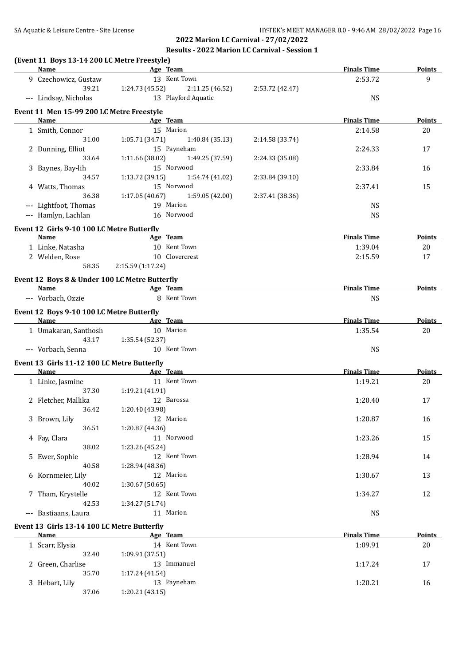**2022 Marion LC Carnival - 27/02/2022**

#### **Results - 2022 Marion LC Carnival - Session 1**

| <b>Name</b>                                    | <b>Example 2</b> Age Team    |                                |                 | <b>Finals Time</b> | <b>Points</b> |
|------------------------------------------------|------------------------------|--------------------------------|-----------------|--------------------|---------------|
| 9 Czechowicz, Gustaw                           |                              | 13 Kent Town                   |                 | 2:53.72            | 9             |
| 39.21                                          | 1:24.73 (45.52)              | 2:11.25 (46.52)                | 2:53.72 (42.47) |                    |               |
| --- Lindsay, Nicholas                          |                              | 13 Playford Aquatic            |                 | <b>NS</b>          |               |
| Event 11 Men 15-99 200 LC Metre Freestyle      |                              |                                |                 | <b>Finals Time</b> |               |
| Name                                           |                              | Age Team<br>15 Marion          |                 |                    | Points        |
| 1 Smith, Connor<br>31.00                       | 1:05.71(34.71)               |                                |                 | 2:14.58            | 20            |
| 2 Dunning, Elliot                              |                              | 1:40.84 (35.13)<br>15 Payneham | 2:14.58 (33.74) | 2:24.33            | 17            |
| 33.64                                          | 1:11.66 (38.02)              | 1:49.25 (37.59)                | 2:24.33 (35.08) |                    |               |
| 3 Baynes, Bay-lih                              |                              | 15 Norwood                     |                 | 2:33.84            | 16            |
| 34.57                                          | 1:13.72 (39.15)              | 1:54.74 (41.02)                | 2:33.84 (39.10) |                    |               |
| 4 Watts, Thomas                                |                              | 15 Norwood                     |                 | 2:37.41            | 15            |
| 36.38                                          | 1:17.05(40.67)               | 1:59.05 (42.00)                | 2:37.41 (38.36) |                    |               |
| --- Lightfoot, Thomas                          |                              | 19 Marion                      |                 | <b>NS</b>          |               |
| --- Hamlyn, Lachlan                            |                              | 16 Norwood                     |                 | <b>NS</b>          |               |
|                                                |                              |                                |                 |                    |               |
| Event 12 Girls 9-10 100 LC Metre Butterfly     |                              |                                |                 |                    |               |
| Name                                           |                              | Age Team<br>10 Kent Town       |                 | <b>Finals Time</b> | <b>Points</b> |
| 1 Linke, Natasha                               |                              | 10 Clovercrest                 |                 | 1:39.04            | 20            |
| 2 Welden, Rose<br>58.35                        |                              |                                |                 | 2:15.59            | 17            |
|                                                | 2:15.59 (1:17.24)            |                                |                 |                    |               |
| Event 12 Boys 8 & Under 100 LC Metre Butterfly |                              |                                |                 |                    |               |
| Name                                           |                              | Age Team                       |                 | <b>Finals Time</b> | <b>Points</b> |
| --- Vorbach, Ozzie                             |                              | 8 Kent Town                    |                 | <b>NS</b>          |               |
| Event 12 Boys 9-10 100 LC Metre Butterfly      |                              |                                |                 |                    |               |
| <b>Name</b>                                    | <b>Example 2016</b> Age Team |                                |                 | <b>Finals Time</b> | Points        |
| 1 Umakaran, Santhosh                           |                              | 10 Marion                      |                 | 1:35.54            | 20            |
| 43.17                                          | 1:35.54 (52.37)              |                                |                 |                    |               |
| --- Vorbach, Senna                             |                              | 10 Kent Town                   |                 | <b>NS</b>          |               |
| Event 13 Girls 11-12 100 LC Metre Butterfly    |                              |                                |                 |                    |               |
| Name                                           |                              | Age Team                       |                 | <b>Finals Time</b> | Points        |
| 1 Linke, Jasmine                               |                              | 11 Kent Town                   |                 | 1:19.21            | 20            |
| 37.30                                          | 1:19.21 (41.91)              |                                |                 |                    |               |
| 2 Fletcher, Mallika                            |                              | 12 Barossa                     |                 | 1:20.40            | 17            |
| 36.42                                          | 1:20.40 (43.98)              |                                |                 |                    |               |
| 3 Brown, Lily                                  |                              | 12 Marion                      |                 | 1:20.87            | 16            |
| 36.51                                          | 1:20.87 (44.36)              |                                |                 |                    |               |
| 4 Fay, Clara                                   |                              | 11 Norwood                     |                 | 1:23.26            | 15            |
| 38.02                                          | 1:23.26 (45.24)              |                                |                 |                    |               |
| 5 Ewer, Sophie                                 |                              | 12 Kent Town                   |                 | 1:28.94            | 14            |
| 40.58                                          | 1:28.94 (48.36)              |                                |                 |                    |               |
| 6 Kornmeier, Lily                              |                              | 12 Marion                      |                 | 1:30.67            | 13            |
| 40.02                                          | 1:30.67 (50.65)              |                                |                 |                    |               |
| 7 Tham, Krystelle                              |                              | 12 Kent Town                   |                 | 1:34.27            | 12            |
| 42.53                                          | 1:34.27 (51.74)              |                                |                 |                    |               |
| --- Bastiaans, Laura                           |                              | 11 Marion                      |                 | <b>NS</b>          |               |
|                                                |                              |                                |                 |                    |               |
| Event 13 Girls 13-14 100 LC Metre Butterfly    |                              |                                |                 |                    |               |
| <b>Name</b>                                    |                              | Age Team                       |                 | <b>Finals Time</b> | <b>Points</b> |
| 1 Scarr, Elysia                                |                              | 14 Kent Town                   |                 | 1:09.91            | 20            |
| 32.40                                          | 1:09.91 (37.51)              |                                |                 |                    |               |
| 2 Green, Charlise                              |                              | 13 Immanuel                    |                 | 1:17.24            | 17            |
| 35.70                                          | 1:17.24 (41.54)              |                                |                 |                    |               |
| 3 Hebart, Lily                                 | 1:20.21(43.15)               | 13 Payneham                    |                 | 1:20.21            | 16            |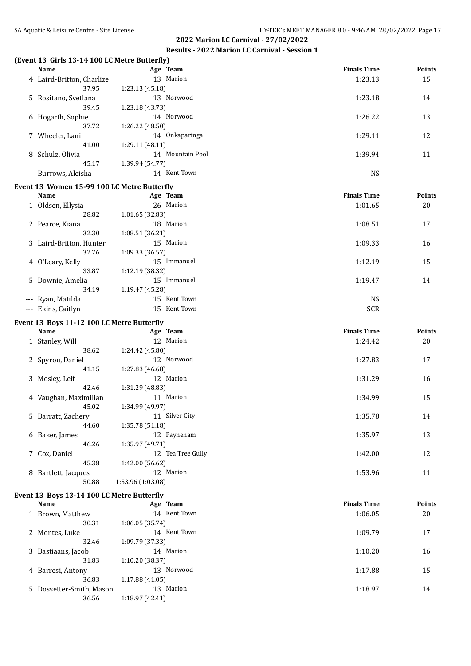#### **(Event 13 Girls 13-14 100 LC Metre Butterfly)**

| Name                                        |                 | Age Team         | <b>Finals Time</b> | <b>Points</b> |
|---------------------------------------------|-----------------|------------------|--------------------|---------------|
| 4 Laird-Britton, Charlize                   |                 | 13 Marion        | 1:23.13            | 15            |
| 37.95                                       | 1:23.13(45.18)  |                  |                    |               |
| 5 Rositano, Svetlana                        |                 | 13 Norwood       | 1:23.18            | 14            |
| 39.45                                       | 1:23.18(43.73)  |                  |                    |               |
| 6 Hogarth, Sophie                           |                 | 14 Norwood       | 1:26.22            | 13            |
| 37.72                                       | 1:26.22(48.50)  |                  |                    |               |
| 7 Wheeler, Lani                             |                 | 14 Onkaparinga   | 1:29.11            | 12            |
| 41.00                                       | 1:29.11(48.11)  |                  |                    |               |
| 8 Schulz, Olivia                            |                 | 14 Mountain Pool | 1:39.94            | 11            |
| 45.17                                       | 1:39.94 (54.77) |                  |                    |               |
| --- Burrows, Aleisha                        |                 | 14 Kent Town     | <b>NS</b>          |               |
| Event 13 Women 15-99 100 LC Metre Butterfly |                 |                  |                    |               |
| Name                                        |                 | Age Team         | <b>Finals Time</b> | Points        |
| 1 Oldsen, Ellysia                           |                 | 26 Marion        | 1:01.65            | 20            |
| 28.82                                       | 1:01.65(32.83)  |                  |                    |               |
| 2 Pearce, Kiana                             |                 | 18 Marion        | 1:08.51            | 17            |

| 32.30                   | 1:08.51(36.21)  |            |    |
|-------------------------|-----------------|------------|----|
| 3 Laird-Britton, Hunter | Marion<br>15    | 1:09.33    | 16 |
| 32.76                   | 1:09.33(36.57)  |            |    |
| 4 O'Leary, Kelly        | 15<br>Immanuel  | 1:12.19    | 15 |
| 33.87                   | 1:12.19(38.32)  |            |    |
| 5 Downie, Amelia        | Immanuel<br>15  | 1:19.47    | 14 |
| 34.19                   | 1:19.47 (45.28) |            |    |
| --- Ryan, Matilda       | Kent Town<br>15 | <b>NS</b>  |    |
| --- Ekins, Caitlyn      | Kent Town<br>15 | <b>SCR</b> |    |

#### **Event 13 Boys 11-12 100 LC Metre Butterfly**

| Name                   | Age Team          | <b>Finals Time</b> | <b>Points</b> |
|------------------------|-------------------|--------------------|---------------|
| 1 Stanley, Will        | 12 Marion         | 1:24.42            | 20            |
| 38.62                  | 1:24.42 (45.80)   |                    |               |
| 2 Spyrou, Daniel       | 12 Norwood        | 1:27.83            | 17            |
| 41.15                  | 1:27.83 (46.68)   |                    |               |
| 3 Mosley, Leif         | 12 Marion         | 1:31.29            | 16            |
| 42.46                  | 1:31.29 (48.83)   |                    |               |
| 4 Vaughan, Maximilian  | 11 Marion         | 1:34.99            | 15            |
| 45.02                  | 1:34.99 (49.97)   |                    |               |
| 5 Barratt, Zachery     | 11 Silver City    | 1:35.78            | 14            |
| 44.60                  | 1:35.78 (51.18)   |                    |               |
| Baker, James<br>6      | 12 Payneham       | 1:35.97            | 13            |
| 46.26                  | 1:35.97 (49.71)   |                    |               |
| 7 Cox, Daniel          | 12 Tea Tree Gully | 1:42.00            | 12            |
| 45.38                  | 1:42.00 (56.62)   |                    |               |
| Bartlett, Jacques<br>8 | 12 Marion         | 1:53.96            | 11            |
| 50.88                  | 1:53.96 (1:03.08) |                    |               |
|                        |                   |                    |               |

# **Event 13 Boys 13-14 100 LC Metre Butterfly**

| Name                     |                | Age Team     | <b>Finals Time</b> | <b>Points</b> |
|--------------------------|----------------|--------------|--------------------|---------------|
| 1 Brown, Matthew         |                | 14 Kent Town | 1:06.05            | 20            |
| 30.31                    | 1:06.05(35.74) |              |                    |               |
| 2 Montes, Luke           |                | 14 Kent Town | 1:09.79            | 17            |
| 32.46                    | 1:09.79(37.33) |              |                    |               |
| 3 Bastiaans, Jacob       |                | 14 Marion    | 1:10.20            | 16            |
| 31.83                    | 1:10.20(38.37) |              |                    |               |
| 4 Barresi, Antony        |                | 13 Norwood   | 1:17.88            | 15            |
| 36.83                    | 1:17.88(41.05) |              |                    |               |
| 5 Dossetter-Smith, Mason |                | 13 Marion    | 1:18.97            | 14            |
| 36.56                    | 1:18.97(42.41) |              |                    |               |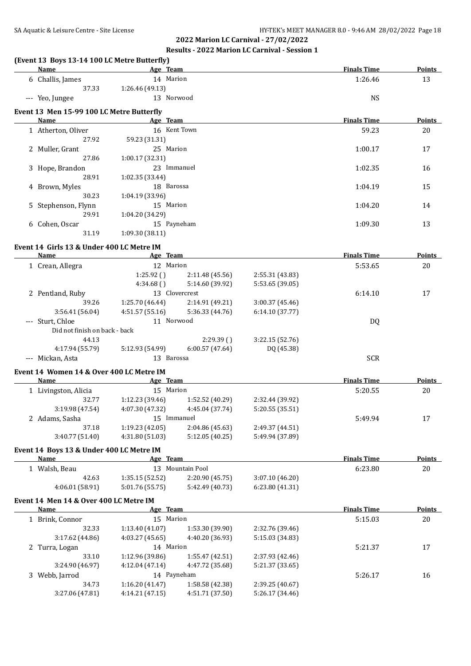# **2022 Marion LC Carnival - 27/02/2022**

# **Results - 2022 Marion LC Carnival - Session 1**

| (Event 13 Boys 13-14 100 LC Metre Butterfly)<br><b>Name</b><br><u> 1989 - Johann Barbara, martxa alemaniar a</u> | Age Team                           |                                    |                                    | <b>Finals Time</b> | Points        |
|------------------------------------------------------------------------------------------------------------------|------------------------------------|------------------------------------|------------------------------------|--------------------|---------------|
| 6 Challis, James                                                                                                 | 14 Marion                          |                                    |                                    | 1:26.46            | 13            |
| 37.33                                                                                                            | 1:26.46 (49.13)                    |                                    |                                    |                    |               |
| --- Yeo, Jungee                                                                                                  | 13 Norwood                         |                                    |                                    | <b>NS</b>          |               |
| Event 13 Men 15-99 100 LC Metre Butterfly                                                                        |                                    |                                    |                                    |                    |               |
| Name                                                                                                             | Age Team                           |                                    |                                    | <b>Finals Time</b> | Points        |
| 1 Atherton, Oliver                                                                                               | 16 Kent Town                       |                                    |                                    | 59.23              | 20            |
| 27.92                                                                                                            | 59.23 (31.31)                      |                                    |                                    |                    |               |
| 2 Muller, Grant<br>27.86                                                                                         | 25 Marion                          |                                    |                                    | 1:00.17            | 17            |
| 3 Hope, Brandon                                                                                                  | 1:00.17 (32.31)<br>23 Immanuel     |                                    |                                    | 1:02.35            | 16            |
| 28.91                                                                                                            | 1:02.35 (33.44)                    |                                    |                                    |                    |               |
| 4 Brown, Myles                                                                                                   | 18 Barossa                         |                                    |                                    | 1:04.19            | 15            |
| 30.23                                                                                                            | 1:04.19 (33.96)                    |                                    |                                    |                    |               |
| 5 Stephenson, Flynn                                                                                              | 15 Marion                          |                                    |                                    | 1:04.20            | 14            |
| 29.91                                                                                                            | 1:04.20 (34.29)                    |                                    |                                    |                    |               |
| 6 Cohen, Oscar                                                                                                   | 15 Payneham                        |                                    |                                    | 1:09.30            | 13            |
| 31.19                                                                                                            | 1:09.30(38.11)                     |                                    |                                    |                    |               |
| Event 14 Girls 13 & Under 400 LC Metre IM                                                                        |                                    |                                    |                                    |                    |               |
| <b>Name</b>                                                                                                      | <b>Example 2018</b> Age Team       |                                    |                                    | <b>Finals Time</b> | <b>Points</b> |
| 1 Crean, Allegra                                                                                                 | 12 Marion                          |                                    |                                    | 5:53.65            | 20            |
|                                                                                                                  | 1:25.92()                          | 2:11.48 (45.56)                    | 2:55.31 (43.83)                    |                    |               |
|                                                                                                                  | 4:34.68()                          | 5:14.60 (39.92)                    | 5:53.65 (39.05)                    |                    |               |
| 2 Pentland, Ruby                                                                                                 | 13 Clovercrest                     |                                    |                                    | 6:14.10            | 17            |
| 39.26                                                                                                            | 1:25.70 (46.44)                    | 2:14.91 (49.21)                    | 3:00.37 (45.46)                    |                    |               |
| 3:56.41(56.04)                                                                                                   | 4:51.57 (55.16)                    | 5:36.33 (44.76)                    | 6:14.10(37.77)                     |                    |               |
| --- Sturt, Chloe                                                                                                 | 11 Norwood                         |                                    |                                    | <b>DQ</b>          |               |
| Did not finish on back - back                                                                                    |                                    |                                    |                                    |                    |               |
| 44.13                                                                                                            |                                    | 2:29.39(                           | 3:22.15 (52.76)                    |                    |               |
| 4:17.94 (55.79)                                                                                                  | 5:12.93 (54.99)                    | 6:00.57(47.64)                     | DQ (45.38)                         |                    |               |
| --- Mickan, Asta                                                                                                 | 13 Barossa                         |                                    |                                    | <b>SCR</b>         |               |
| Event 14 Women 14 & Over 400 LC Metre IM                                                                         |                                    |                                    |                                    |                    |               |
| Name                                                                                                             | Age Team                           |                                    |                                    | <b>Finals Time</b> | <b>Points</b> |
| 1 Livingston, Alicia                                                                                             | 15 Marion                          |                                    |                                    | 5:20.55            | 20            |
| 32.77                                                                                                            | 1:12.23 (39.46)                    | 1:52.52 (40.29)                    | 2:32.44 (39.92)                    |                    |               |
| 3:19.98 (47.54)                                                                                                  |                                    | 4:07.30 (47.32) 4:45.04 (37.74)    | 5:20.55 (35.51)                    |                    |               |
| 2 Adams, Sasha<br>37.18                                                                                          | 15 Immanuel<br>1:19.23(42.05)      | 2:04.86 (45.63)                    | 2:49.37 (44.51)                    | 5:49.94            | 17            |
| 3:40.77 (51.40)                                                                                                  | 4:31.80 (51.03)                    | 5:12.05 (40.25)                    | 5:49.94 (37.89)                    |                    |               |
|                                                                                                                  |                                    |                                    |                                    |                    |               |
| Event 14 Boys 13 & Under 400 LC Metre IM                                                                         |                                    |                                    |                                    |                    |               |
| <u>Name</u>                                                                                                      | Age Team                           |                                    |                                    | <b>Finals Time</b> | <b>Points</b> |
| 1 Walsh, Beau<br>42.63                                                                                           | 1:35.15(52.52)                     | 13 Mountain Pool                   |                                    | 6:23.80            | $20\,$        |
| 4:06.01 (58.91)                                                                                                  | 5:01.76 (55.75)                    | 2:20.90 (45.75)<br>5:42.49 (40.73) | 3:07.10 (46.20)<br>6:23.80 (41.31) |                    |               |
|                                                                                                                  |                                    |                                    |                                    |                    |               |
| Event 14 Men 14 & Over 400 LC Metre IM<br>Name                                                                   | Age Team                           |                                    |                                    | <b>Finals Time</b> | <b>Points</b> |
|                                                                                                                  | 15 Marion                          |                                    |                                    | 5:15.03            | $20\,$        |
|                                                                                                                  |                                    |                                    | 2:32.76 (39.46)                    |                    |               |
| 1 Brink, Connor                                                                                                  |                                    |                                    |                                    |                    |               |
| 32.33                                                                                                            | 1:13.40 (41.07)                    | 1:53.30 (39.90)                    |                                    |                    |               |
| 3:17.62 (44.86)                                                                                                  | 4:03.27 (45.65)                    | 4:40.20 (36.93)                    | 5:15.03 (34.83)                    |                    |               |
| 2 Turra, Logan<br>33.10                                                                                          | 14 Marion                          |                                    |                                    | 5:21.37            | 17            |
| 3:24.90 (46.97)                                                                                                  | 1:12.96 (39.86)<br>4:12.04 (47.14) | 1:55.47 (42.51)<br>4:47.72 (35.68) | 2:37.93 (42.46)<br>5:21.37 (33.65) |                    |               |
| 3 Webb, Jarrod                                                                                                   | 14 Payneham                        |                                    |                                    | 5:26.17            | 16            |
| 34.73                                                                                                            | 1:16.20(41.47)                     | 1:58.58 (42.38)                    | 2:39.25 (40.67)                    |                    |               |